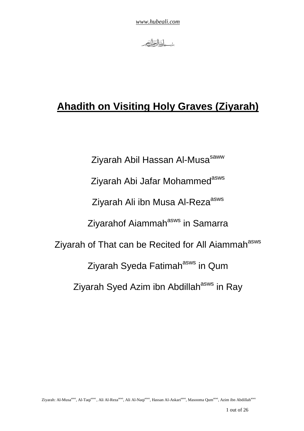

# **Ahadith on Visiting Holy Graves (Ziyarah)**

Ziyarah Abil Hassan Al-Musa<sup>saww</sup> Ziyarah Abi Jafar Mohammed<sup>asws</sup> Ziyarah Ali ibn Musa Al-Reza<sup>asws</sup> Ziyarahof Aiammah<sup>asws</sup> in Samarra Ziyarah of That can be Recited for All Aiammah<sup>asws</sup> Ziyarah Syeda Fatimah<sup>asws</sup> in Qum Ziyarah Syed Azim ibn Abdillah<sup>asws</sup> in Ray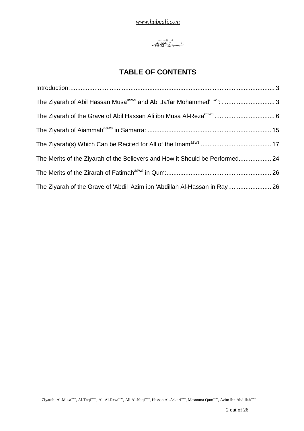

# **TABLE OF CONTENTS**

| The Merits of the Ziyarah of the Believers and How it Should be Performed 24 |  |
|------------------------------------------------------------------------------|--|
|                                                                              |  |
| The Ziyarah of the Grave of 'Abdil 'Azim ibn 'Abdillah Al-Hassan in Ray 26   |  |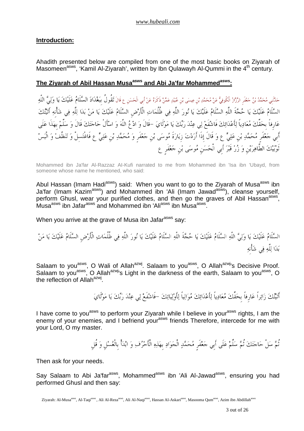## **Introduction:**

Ahadith presented below are compiled from one of the most basic books on Ziyarah of Masomeen<sup>asws</sup>, 'Kamil Al-Ziyarah', written by Ibn Qulawayh Al-Qummi in the  $4<sup>th</sup>$  century.

## **The Ziyarah of Abil Hassan Musaasws and Abi Ja'far Mohammedasws:**

حَدَّنَنِي مُحَمَّدُ بْنُ حَعْفَرِ الرَّزَازُ الْكُوفِيُّ عَنْ مُحَمَّدِ بْن عِيسَى بْن عُبَيْدٍ عَمَّنْ ذَكَرَهُ عَنْ أَبِي الْحَسَن ع قَالَ تَقُولُ بِبَغْدَادَ السَّلَامُ عَلَيْكَ يَا وَلِيَّ اللَّهِ السلَام علَيك يا حجةَ اللَّه السلَام علَيك يا نور اللَّه في ظُلُمات الْأَرضِ السلَام علَيك يا من بدا للَّه في شأْنِه أَتيتك عَارِفاً بِحَقِّكَ مُعَادِياً لِأَعْدَائِكَ فَاشْفَعْ لِي عِنْدَ رَبِّكَ يَا مَوْلَايَ –قَالَ وَ ادْعُ اللَّهَ وَ اسْأَلْ حَاجَتَكَ قَالَ وَ سَلِّمْ بِهَذَا عَلَى أَبِي جَعْفَرِ مُحَمَّدِ بْنِ عَلِيٍّ ع وَ قَالَ إِذَا أَرَدْتَ زِيَارَةَ مُوسَى بْنِ جَعْفَرٍ وَ مُحَمَّدِ بْنِ عَلِيٍّ ع فَاغْتَسلْ وَ تَنظَّفْ وَ الْبَسْ ثَوبيك الطَّاهرينِ و زر قَبر أَبِي الْحسنِ موسى بنِ جعفَرٍ ع

Mohammed ibn Ja'far Al-Razzaz AI-Kufi narrated to me from Mohammed ibn 'Isa ibn 'Ubayd, from someone whose name he mentioned, who said:

Abul Hassan (Imam Hadi<sup>asws</sup>) said: When you want to go to the Ziyarah of Musa<sup>asws</sup> ibn Ja'far (Imam Kazim<sup>asws</sup>) and Mohammed ibn 'Ali (Imam Jawad<sup>asws</sup>), cleanse yourself, perform Ghusl, wear your purified clothes, and then go the graves of Abil Hassan<sup>asws</sup>, .<br>Musa<sup>asws</sup> ibn Jafar<sup>asws</sup> and Mohammed ibn 'Ali<sup>asws</sup> ibn Musa<sup>asws</sup> .

When you arrive at the grave of Musa ibn Jafar<sup>asws</sup> say:

السَّلَامُ عَلَيْكَ يَا وَلِيَّ اللَّهِ السَّلَامُ عَلَيْكَ يَا حُجَّةَ اللَّهِ السَّلَامُ عَلَيْكَ يَا نُورَ اللَّهِ فِي ظُلُمَاتِ الْأَرْضِ السَّلَامُ عَلَيْكَ يَا مَنْ بدا للَّه في شأْنِه

Salaam to you<sup>asws</sup>, O Wali of Allah<sup>azwj</sup>. Salaam to you<sup>asws</sup>, O Allah<sup>azwj</sup>'s Decisive Proof. Salaam to you<sup>asws</sup>, O Allah<sup>azwj</sup>'s Light in the darkness of the earth, Salaam to you<sup>asws</sup>, O the reflection of Allah<sup>azwj</sup>.

أَتيتك زائراً عارِفاً بِحقِّك معادياً لأَعدائك موالياً لأَوليائك -فَاشفَع لي عند ربك يا مولَاي

I have come to you<sup>asws</sup> to perform your Ziyarah while I believe in your<sup>asws</sup> rights, I am the enemy of your enemies, and I befriend your<sup>asws</sup> friends Therefore, intercede for me with your Lord, O my master.

تُمَّ سَلْ حَاجَتَكَ تُمَّ سَلِّمْ عَلَى أَبِي جَعْفَرِ مُحَمَّدٍ الْجَوَادِ بِهَذِهِ الْأَحْرُفِ وَ ابْدَأْ بِالْغُسْلِ وَ قُلِ

Then ask for your needs.

Say Salaam to Abi Ja'far<sup>asws</sup>, Mohammed<sup>asws</sup> ibn 'Ali Al-Jawad<sup>asws</sup>, ensuring you had performed Ghusl and then say: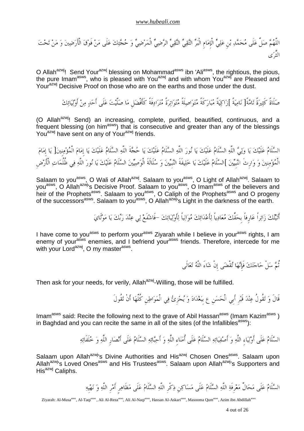اللَّهم صلِّ علَى محمد بنِ علي الْإِمامِ الْبر التقي النقي الرضي الْمرضي و حجتك علَى من فَوق الْأَرضين و من تحت الثَّرى

O Allah<sup>azwj</sup>! Send Your<sup>azwj</sup> blessing on Mohammad<sup>asws</sup> ibn 'Ali<sup>asws</sup>, the rightious, the pious, the pure Imam<sup>asws</sup>, who is pleased with You<sup>azwj</sup> and with whom You<sup>azwj</sup> are Pleased and Your<sup>azwj</sup> Decisive Proof on those who are on the earths and those under the dust.

صلَاةً كَثيرةً تامةً[ ناميةً ]زاكيةً مباركَةً متواصلَةً متواترةً مترادفَةً كَأَفْضلِ ما صلَّيت علَى أَحد من أَوليائك

(O Allah<sup>azwj</sup>! Send) an increasing, complete, purified, beautified, continuous, and a frequent blessing (on him<sup>asws</sup>) that is consecutive and greater than any of the blessings You<sup>azwj</sup> have sent on any of Your<sup>azwj</sup> friends.

السَّلَامُ عَلَيْكَ يَا وَلِيُّ اللَّهِ السَّلَامُ عَلَيْكَ يَا نُورَ اللَّهِ السَّلَامُ عَلَيْكَ يَا حُجَّةَ اللَّهِ السَّلَامُ عَلَيْكَ يَا إِمَامَ الْمُؤْمِنِينَ وَ وَارِثَ النَّبِيِّينَ ]السَّلَامُ عَلَيْكَ يَا خَلِيفَةَ النَّبِيِّينَ وَ سُلَالَةَ الْوَصِيِّينَ السَّلَامُ عَلَيْكَ يَا نُورَ اللَّهِ فِي ظُلُمَاتِ الْأَرْضِ

Salaam to you<sup>asws</sup>, O Wali of Allah<sup>azwj</sup>. Salaam to you<sup>asws</sup>, O Light of Allah<sup>azwj</sup>. Salaam to you<sup>asws</sup>, O Allah<sup>azwj</sup>'s Decisive Proof. Salaam to you<sup>asws</sup>, O Imam<sup>asws</sup> of the believers and heir of the Prophets<sup>asws</sup>. Salaam to you<sup>asws</sup>, O Caliph of the Prophets<sup>asws</sup> and O progeny of the successors<sup>asws</sup>. Salaam to you<sup>asws</sup>, O Allah<sup>azwj</sup>'s Light in the darkness of the earth.

أَتيتك زائراً عارِفاً بِحقِّك معادياً لأَعدائك موالياً لأَوليائك -فَاشفَع لي عند ربك يا مولَاي

I have come to you<sup>asws</sup> to perform your<sup>asws</sup> Ziyarah while I believe in your<sup>asws</sup> rights, I am enemy of your<sup>asws</sup> enemies, and I befriend your<sup>asws</sup> friends. Therefore, intercede for me with your Lord<sup>azwj</sup>, O my master<sup>asws</sup>.

ثُم سلْ حاجتك فَإِنها تقْضى إِنْ شاءَ اللَّه تعالَى

Then ask for your needs, for verily, Allah<sup>azwj</sup>-Willing, those will be fulfilled.

قَالَ وَ تَقُولُ عِنْدَ قَبْرِ أَبِي الْحَسَنِ عِ بِبَغْدَادَ وَ يُجْزِئُ فِي الْمَوَاطِنِ كُلِّهَا أَنْ تَقُولَ

Imam<sup>asws</sup> said: Recite the following next to the grave of Abil Hassan<sup>asws</sup> (Imam Kazim<sup>asws</sup>) in Baghdad and you can recite the same in all of the sites (of the Infallibles<sup>asws</sup>):

السلَام علَى أَولياءِ اللَّه و أَصفيائه السلَام علَى أُمناءِ اللَّه و أَحبائه السلَام علَى أَنصارِ اللَّه و خلَفَائه

Salaam upon Allah<sup>azwj</sup>'s Divine Authorities and His<sup>azwj</sup> Chosen Ones<sup>asws</sup>. Salaam upon Allah<sup>azwj</sup>'s Loved Ones<sup>asws</sup> and His Trustees<sup>asws</sup>. Salaam upon Allah<sup>azwj</sup>'s Supporters and  $His<sup>azwj</sup>$  Caliphs.

السلَام علَى محالِّ معرِفَة اللَّه السلَام علَى مساكنِ ذكْرِ اللَّه السلَام علَى مظَاهرٍ أَمرِ اللَّه و نهيِه

Ziyarah: Al-Musa<sup>asws</sup>, Al-Taqi<sup>asws</sup>, Ali Al-Reza<sup>asws</sup>, Ali Al-Naqi<sup>asws</sup>, Hassan Al-Askari<sup>asws</sup>, Masooma Qum<sup>asws</sup>, Azim ibn Abdillah<sup>asw</sup>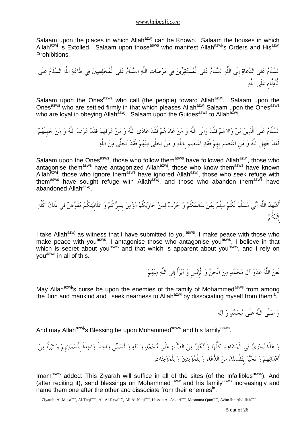Salaam upon the places in which Allah<sup>azwj</sup> can be Known. Salaam the houses in which Allah<sup>azwj</sup> is Extolled. Salaam upon those<sup>asws</sup> who manifest Allah<sup>azwj</sup>'s Orders and His<sup>azwj</sup> Prohibitions.

السَّلَامُ عَلَى الدُّعَاةِ إِلَى اللَّهِ السَّلَامُ عَلَى الْمُسْتَقِرِّينَ فِي مَرَضَاتِ اللَّهِ السَّلَامُ عَلَى الْمُخْلِصِينَ فِي طَاعَةِ اللَّهِ السَّلَامُ عَلَى الْأَدِلَّاء<sub>َ</sub> عَلَى اللَّهِ

Salaam upon the Ones<sup>asws</sup> who call (the people) toward Allah<sup>azwj</sup>. Salaam upon the Ones<sup>asws</sup> who are settled firmly in that which pleases Allah<sup>azwj</sup> Salaam upon the Ones<sup>asws</sup> who are loyal in obeying Allah<sup>azwj</sup>. Salaam upon the Guides<sup>asws</sup> to Allah<sup>azwj</sup>.

السلَامعلَىالَّذينمنوالاهمفَقَدوالَىاللَّهومنعاداهمفَقَدعادىاللَّهومنعرفَهمفَقَدعرفاللَّهومنجهِلَهم فَقَدجهِلَاللَّهومنِاعتصمبِهِمفَقَداعتصمبِاللَّهومنتخلَّىمنهمفَقَدتخلَّىمناللَّه

Salaam upon the Ones<sup>asws</sup>, those who follow them<sup>asws</sup> have followed Allah<sup>azwj</sup>, those who antagonise them<sup>asws</sup> have antagonized Allah<sup>azwj</sup>, those who know them<sup>asws</sup> have known Allah<sup>azwj</sup>, those who ignore them<sup>asws</sup> have ignored Allah<sup>azwj</sup>, those who seek refuge with them<sup>asws</sup> have sought refuge with Allah<sup>azwj</sup>, and those who abandon them<sup>asws</sup> have abandoned Allah<sup>azwj</sup>.

أُشهِداللَّهأَنيمسلِّملَكُمسلْملمنسالَمكُموحربلمنحاربكُممؤمنبِسِركُموعلَانِيتكُممفَوضفيذَلككُلِّه إِلَيكُم

I take Allah<sup>azwj</sup> as witness that I have submitted to you<sup>asws</sup>, I make peace with those who make peace with you<sup>asws</sup>, I antagonise those who antagonise you<sup>asws</sup>, I believe in that which is secret about you<sup>asws</sup> and that which is apparent about you<sup>asws</sup>, and I rely on you<sup>asws</sup> in all of this.

لَعَنَ اللَّهُ عَدُوَّ آل مُحَمَّدٍ مِنَ الْجنِّ وَ الْإِنْسِ وَ أَبْرَأُ إِلَى اللَّهِ مِنْهُمْ

May Allah<sup>azwj</sup>'s curse be upon the enemies of the family of Mohammed<sup>asws</sup> from among the Jinn and mankind and I seek nearness to Allah<sup>azwj</sup> by dissociating myself from them<sup>la</sup>.

وَ صَلَّى اللَّهُ عَلَى مُحَمَّدٍ وَ آلِهِ

And may Allah<sup>azwj</sup>'s Blessing be upon Mohammed<sup>saww</sup> and his family<sup>asws</sup>.

وهذَايجزِئفيالْمشاهدكُلِّهاوتكْثرمنالصلَاةعلَىمحمدوآلهوتسميواحداًواحداًبِأَسمائهِموتبرأُمن أَعدائهِموتخيربِنفْسِكمنالدعاءِوللْمؤمنِينوللْمؤمنات

Imam<sup>asws</sup> added: This Ziyarah will suffice in all of the sites (of the Infallibles<sup>asws</sup>). And (after reciting it), send blessings on Mohammed<sup>saww</sup> and his family<sup>asws</sup> increasingly and name them one after the other and dissociate from their enemies<sup>la</sup>.

Ziyarah: Al-Musa<sup>asws</sup>, Al-Taqi<sup>asws</sup>, Ali Al-Reza<sup>asws</sup>, Ali Al-Naqi<sup>asws</sup>, Hassan Al-Askari<sup>asws</sup>, Masooma Qum<sup>asws</sup>, Azim ibn Abdillah<sup>asws</sup>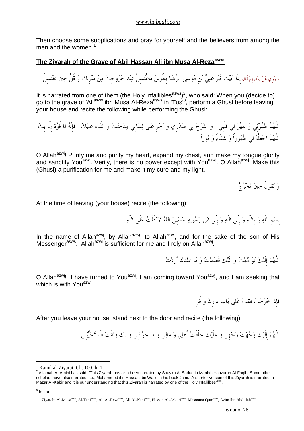Then choose some supplications and pray for yourself and the believers from among the men and the women.<sup>1</sup>

## **The Ziyarah of the Grave of Abil Hassan Ali ibn Musa Al-Rezaasws**

وَ رُوِيَ عَنْ بَعْضِهِمْ قَالَ إِذَا أَتَيْتَ قَبْرَ عَلِيٍّ بْنِ مُوسَى الرِّضَا بِطُوسَ فَاغْتَسلُ عِنْدَ خُرُوجِكَ مِنْ مَنْزِلِكَ وَ قُلْ حِينَ تَغْتَسِلُ

It is narrated from one of them (the Holy Infallibles<sup>asws</sup>)<sup>2</sup>, who said: When you (decide to) go to the grave of 'Ali<sup>asws</sup> ibn Musa Al-Reza<sup>asws</sup> in 'Tus<sup>'3</sup>, perform a Ghusl before leaving your house and recite the following while performing the Ghusl:

اللَّهم طَهرنِي و طَهر لي قَلْبِي -و اشرح لي صدرِي و أَجرِ علَى لسانِي مدحتك و الثَّناءَ علَيك -فَإِنه لَا قُوةَ إِلَّا بِك اللَّهم اجعلْه لي طَهوراً و شفَاءً و نوراً

O Allah<sup>azwj</sup>! Purify me and purify my heart, expand my chest, and make my tongue glorify and sanctify You<sup>azwj</sup>. Verily, there is no power except with You<sup>azwj</sup>. O Allah<sup>azwj</sup>! Make this (Ghusl) a purification for me and make it my cure and my light.

و تقُولُ حين تخرج

At the time of leaving (your house) recite (the following):

بِسمِ اللَّه و بِاللَّه و إِلَى اللَّه و إِلَى ابنِ رسوله حسبِي اللَّه توكَّلْت علَى اللَّه

In the name of Allah<sup>azwj</sup>, by Allah<sup>azwj</sup>, to Allah<sup>azwj</sup>, and for the sake of the son of His Messenger<sup>asws</sup>. Allah<sup>azwj</sup> is sufficient for me and I rely on Allah<sup>azwj</sup>.

اللَّهُمَّ إِلَيْكَ تَوَجَّهْتُ وَ إِلَيْكَ قَصَدْتُ وَ مَا عِنْدَكَ أَرَدْتُ

O Allah<sup>azwj</sup>! I have turned to You<sup>azwj</sup>, I am coming toward You<sup>azwj</sup>, and I am seeking that which is with You<sup>azwj</sup>.

فَإِذَا خرجت فَقف علَى بابِ دارِك و قُلِ

After you leave your house, stand next to the door and recite (the following):

اللَّهُمَّ إِلَيْكَ وَجَّهْتُ وَجْهي وَ عَلَيْكَ خَلَّفْتُ أَهْلِي وَ مَالِي وَ مَا خَوَّلْتَنِي وَ بِكَ وَثِقْتُ فَلَا تُخَيِّنْنِي

<sup>1</sup> Kamil al-Ziyarat, Ch. 100, h, 1

<sup>&</sup>lt;sup>2</sup> Allamah Al-Amini has said, "This Ziyarah has also been narrated by Shaykh Al-Saduq in Manlah Yahzaruh Al-Faqih. Some other scholars have also narrated, i.e., Mohammed ibn Hassan ibn Walid in his book Jami. A shorter version of this Ziyarah is narrated in Mazar Al-Kabir and it is our understanding that this Ziyarah is narrated by one of the Holy Infallilbes<sup>asws</sup> .

 $^3$  In Iran

Ziyarah: Al-Musa<sup>asws</sup>, Al-Taqi<sup>asws</sup>, Ali Al-Reza<sup>asws</sup>, Ali Al-Naqi<sup>asws</sup>, Hassan Al-Askari<sup>asws</sup>, Masooma Oum<sup>asws</sup>, Azim ibn Abdillah<sup>asws</sup>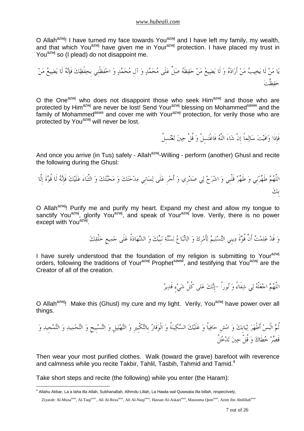O Allah<sup>azwj</sup>! I have turned my face towards You<sup>azwj</sup> and I have left my family, my wealth, and that which You<sup>azwj</sup> have given me in Your<sup>azwj</sup> protection. I have placed my trust in You<sup>azwj</sup> so (I plead) do not disappoint me.

يا من لَا يخيب من أَراده و لَا يضيع من حفظَه صلِّ علَى محمد و آلِ محمد و احفَظْنِي بِحفْظك فَإِنه لَا يضيع من حفظْت

O the One<sup>azwj</sup> who does not disappoint those who seek Him<sup>azwj</sup> and those who are protected by Him<sup>azwj</sup> are never be lost! Send Your<sup>azwj</sup> blessing on Mohammed<sup>saww</sup> and the family of Mohammed<sup>asws</sup> and cover me with Your<sup>azwj</sup> protection, for verily those who are protected by You<sup>azwj</sup> will never be lost.

فَإِذَا وافَيت سالماً إِنْ شاءَ اللَّه فَاغْتسِلْ و قُلْ حين تغتسِلُ

And once you arrive (in Tus) safely - Allah<sup>azwj</sup>-Willing - perform (another) Ghusl and recite the following during the Ghusl:

اللَّهم طَهرنِي و طَهر قَلْبِي و اشرح لي صدرِي و أَجرِ علَى لسانِي مدحتك و محبتك و الثَّناءَ علَيك فَإِنه لَا قُوةَ إِلَّا بِك

O Allah<sup>azwj</sup>! Purify me and purify my heart. Expand my chest and allow my tongue to sanctify You<sup>azwj</sup>, glorify You<sup>azwj</sup>, and speak of Your<sup>azwj</sup> love. Verily, there is no power except with You<sup>azwj</sup>.

وَ قَدْ عَلِمْتُ أَنَّ قُوَّةَ دِينِي التَّسْلِيمُ لِأَمْرِكَ وَ الِاتَّبَاعُ لِسُنَّةِ نَبِيِّكَ وَ الشَّهَادَةُ عَلَى جَمِيعِ خَلْقِكَ

I have surely understood that the foundation of my religion is submitting to Your<sup>azwj</sup> orders, following the traditions of Your<sup>azwj</sup> Prophet<sup>saww</sup>, and testifying that You<sup>azwj</sup> are the Creator of all of the creation.

اللَّهُمَّ اجْعَلْهُ لِي شِفَاءً وَ نُوراً –إِنَّكَ عَلى كُلِّ شَيْء قَدِيرٌ

O Allah<sup>azwj</sup>! Make this (Ghusl) my cure and my light. Verily, You<sup>azwj</sup> have power over all things.

ثُم الْبس أَطْهر ثيابِك و امشِ حافياً و علَيك السكينةُ و الْوقَار بِالتكْبِيرِ و التهليلِ و التسبِيحِ و التحميد و التمجِيد و قَصر خطَاك و قُلْ حين تدخلُ

Then wear your most purified clothes. Walk (toward the grave) barefoot wilh reverence and calmness while you recite Takbir, Tahlil, Tasbih, Tahmid and Tamid. $4$ 

Take short steps and recite (the following) while you enter (the Haram):

 4 Allahu Akbar, La a laha illa Allah, Subhanallah, Alhmdu Lillah, La Hawla wal Quwwata Illa billah, respectively,

Ziyarah: Al-Musa<sup>asws</sup>, Al-Taqi<sup>asws</sup>, Ali Al-Reza<sup>asws</sup>, Ali Al-Naqi<sup>asws</sup>, Hassan Al-Askari<sup>asws</sup>, Masooma Qum<sup>asws</sup>, Azim ibn Abdillah<sup>asws</sup>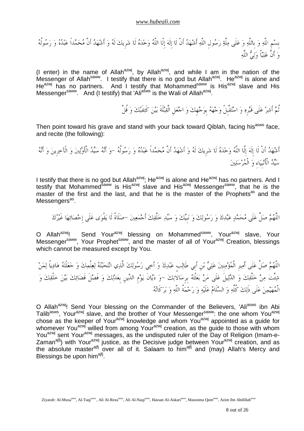بِسمِ اللَّه و بِاللَّه و علَى ملَّة رسولِ اللَّه أَشهد أَنْ لَا إِلَه إِلَّا اللَّه وحده لَا شرِيك لَه و أَشهد أَنَّ محمداً عبده و رسولُه و أَنَّ علياً ولي اللَّه

(I enter) in the name of Allah<sup>azwj</sup>, by Allah<sup>azwj</sup>, and while I am in the nation of the Messenger of Allah<sup>saww</sup>. I testify that there is no god but Allah<sup>azwj</sup>. He<sup>azwj</sup> is alone and He<sup>azwj</sup> has no partners. And I testify that Mohammed<sup>saww</sup> is His<sup>azwj</sup> slave and His Messenger<sup>saww</sup>. And (I testify) that 'Ali<sup>asws</sup> is the Wali of Allah<sup>azwj</sup>.

ثُم أَشر علَى قَبرِه و استقْبِلْ وجهه بِوجهِك و اجعلِ الْقبلَةَ بين كَتفَيك و قُلْ

Then point toward his grave and stand with your back toward Qiblah, facing his<sup>asws</sup> face, and recite (the following):

أَشْهَدُ أَنْ لَا إِلَهَ إِلَّا اللَّهُ وَحْدَهُ لَا شَرِيكَ لَهُ وَ أَشْهَدُ أَنَّ مُحَمَّداً عَبْدُهُ وَ رَسُولُهُ –وَ أَنَّهُ سَيِّدُ الْأَوَّلِينَ وَ الْآخِرِينَ وَ أَنَّهُ سَيِّدُ الْأَنْبِيَاءِ وَ الْمُرْسَلِينَ

I testify that there is no god but Allah<sup>azwj</sup>; He<sup>azwj</sup> is alone and He<sup>azwj</sup> has no partners. And I testify that Mohammed<sup>saww</sup> is His<sup>azwj</sup> slave and His<sup>azwj</sup> Messenger<sup>saww</sup>, that he is the master of the first and the last, and that he is the master of the Prophets<sup>as</sup> and the Messengers<sup>as</sup>.

اللَّهُمَّ صَلٍّ عَلَى مُحَمَّدٍ عَبْدِكَ وَ رَسُولِكَ وَ نَبِيِّكَ وَ سَيِّدِ خَلْقِكَ أَجْمَعِينَ –صَلَاةً لَا يَقْوَى عَلَى إِحْصَائِهَا غَيْرُكَ

O Allah<sup>azwj</sup>! Send Your<sup>azwj</sup> blessing on Mohammed<sup>saww</sup>, Your<sup>azwj</sup> slave, Your Messenger<sup>saww</sup>, Your Prophet<sup>saww</sup>, and the master of all of Your<sup>azwj</sup> Creation, blessings which cannot be measured except by You.

اللَّهُمَّ صَلٍّ عَلَى أَمِيرِ الْمُؤْمِنِينَ عَلِيٍّ بْنِ أَبِي طَالِبٍ عَبْدِكَ وَ أَخِي رَسُولِكَ الَّذِي انْتَجَبَّنَهُ لِعِلْمِكَ وَ جَعَلْتَهُ هَادِياً لِمَنْ شِئْتَ مِنْ خَلْقِكَ وَ الدَّلِيلَ عَلَى مَنْ بَعَثْتُهُ بِرِسَالاتِكَ –وَ دَيَّانَ يَوْمِ الدِّينِ بِعَدْلِكَ وَ فَصْلَ قَضَائِكَ بَيْنَ خَلْقِكَ وَ الْمهيمن علَى ذَلك كُلِّه و السلَام علَيه و رحمةُ اللَّه و بركَاته

O Allah<sup>azwj</sup>! Send Your blessing on the Commander of the Believers, 'Ali<sup>asws</sup> ibn Abi Talib<sup>asws</sup>, Your<sup>azwj</sup> slave, and the brother of Your Messenger<sup>saww</sup>: the one whom You<sup>azwj</sup> chose as the keeper of Your<sup>azwj</sup> knowledge and whom You<sup>azwj</sup> appointed as a guide for whomever You<sup>azwj</sup> willed from among Your<sup>azwj</sup> creation, as the guide to those with whom You<sup>azwj</sup> sent Your<sup>azwj</sup> messages, as the undisputed ruler of the Day of Religion (Imam-e-Zaman<sup>ajfj</sup>) with Your<sup>azwj</sup> justice, as the Decisive judge between Your<sup>azwj</sup> creation, and as the absolute master<sup>ajfj</sup> over all of it. Salaam to him<sup>ajfj</sup> and (may) Allah's Mercy and Blessings be upon him<sup>ajfj</sup>.

Ziyarah: Al-Musa<sup>asws</sup>, Al-Taqi<sup>asws</sup>, Ali Al-Reza<sup>asws</sup>, Ali Al-Naqi<sup>asws</sup>, Hassan Al-Askari<sup>asws</sup>, Masooma Qum<sup>asws</sup>, Azim ibn Abdillah<sup>asws</sup>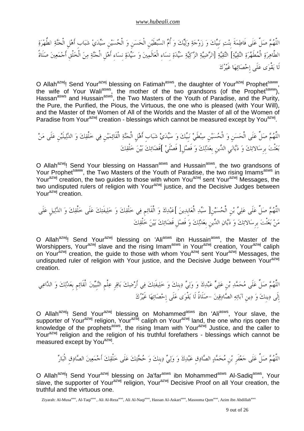اللَّهُمَّ صَلٍّ عَلَى فَاطِمَةَ بِنْتِ نَبِيِّكَ وَ زَوْجَةِ وَلِيِّكَ وَ أُمٍّ السِّبْطَيْنِ الْحَسَنِ وَ الْحُسَيْنِ سَيِّدَيْ شَبَابٍ أَهْلِ الْجَنَّةِ الطُّهْرَةِ الطَّاهِرَةِ الْمُطَهَّرَةِ التَّقِيَّةِ] التَّقِيَّةِ [الرَّضِيَّةِ الزَّكِيَّةِ سَيِّدَةِ نِسَاءِ الْعَالَمِينَ وَ سَيِّدَةِ نِسَاء أَهْلِ الْجَنَّةِ مِنَ الْخَلْقِ أَجْمَعِينَ صَلَاةً لَا يقْوى علَى إِحصائها غَيرك

O Allah<sup>azwj</sup>! Send Your<sup>azwj</sup> blessing on Fatimah<sup>asws</sup>, the daughter of Your<sup>azwj</sup> Prophet<sup>saww</sup> , the wife of Your Wali<sup>asws</sup>, the mother of the two grandsons (of the Prophet<sup>saww</sup>), Hassan<sup>asws</sup> and Hussain<sup>asws</sup>, the Two Masters of the Youth of Paradise, and the Purity, the Pure, the Purified, the Pious, the Virtuous, the one who is pleased (with Your Will), and the Master of the Women of All of the Worlds and the Master of all of the Women of Paradise from Your<sup>azwj</sup> creation - blessings which cannot be measured except by You<sup>azwj</sup>.

اللَّهُمَّ صَلِّ عَلَى الْحَسَنِ وَ الْحُسَيْنِ سِبْطَيْ نَبِيِّكَ وَ سَيِّدَيْ شَبَابِ أَهْلِ الْجَنَّةِ الْقَائِمَيْنِ فِي خَلْقِكَ وَ الدَّلِيلَيْنِ عَلَى مَنْ بَعَثْتَ بِرِسَالاتِكَ وَ دَيَّانَي الدِّينِ بِعَدْلِكَ وَ فَصْلِ[ فَصْلَىْ ]فَضَائِكَ بَيْنَ خَلْقِكَ

O Allah<sup>azwj</sup>! Send Your blessing on Hassan<sup>asws</sup> and Hussain<sup>asws</sup>, the two grandsons of Your Prophet<sup>saww</sup>, the Two Masters of the Youth of Paradise, the two rising Imams<sup>asws</sup> in Your<sup>azwj</sup> creation, the two guides to those with whom You<sup>azwj</sup> sent Your<sup>azwj</sup> Messages, the two undisputed rulers of religion with Your<sup>azwj</sup> justice, and the Decisive Judges between Your<sup>azwj</sup> creation.

اللَّهُمَّ صَلٍّ عَلَى عَلِيٍّ بْنِ الْحُسَيْنِ[ سَيِّدِ الْعَابِدِينَ ]عَبْدِكَ وَ الْقَائِمِ فِي خَلْقِكَ وَ خَلِيفَتِكَ عَلَى خَلْقِكَ وَ الدَّلِيلِ عَلَى من بعثْت بِرِسالاتك و ديان الدينِ بِعدلك و فَصلِ قَضائك بين خلْقك

O Allah<sup>azwj</sup>! Send Your<sup>azwj</sup> blessing on 'Ali<sup>asws</sup> ibn Hussain<sup>asws</sup>, the Master of the Worshippers, Your<sup>azwj</sup> slave and the rising Imam<sup>asws</sup> in Your<sup>azwj</sup> creation, Your<sup>azwj</sup> caliph on Your<sup>azwj</sup> creation, the guide to those with whom You<sup>azwj</sup> sent Your<sup>azwj</sup> Messages, the undisputed ruler of religion with Your justice, and the Decisive Judge between Your<sup>azwj</sup> creation.

اللَّهُمَّ صَلٍّ عَلَى مُحَمَّدِ بْن عَلِيٍّ عَبْدِكَ وَ وَلِيٍّ دِينكَ وَ خَلِيفَتِكَ فِي أَرْضِكَ بَاقِر عِلْمِ النَّبِيِّينَ الْقَائِمِ بِعَدْلِكَ وَ الدَّاعِي إِلَى دينِك و دينِ آبائه الصادقين -صلَاةً لَا يقْوى علَى إِحصائها غَيرك

O Allah<sup>azwj</sup>! Send Your<sup>azwj</sup> blessing on Mohammed<sup>asws</sup> ibn 'Ali<sup>asws</sup>, Your slave, the supporter of Your<sup>azwj</sup> religion, Your<sup>azwj</sup> caliph on Your<sup>azwj</sup> land, the one who rips open the knowledge of the prophets<sup>asws</sup>, the rising Imam with Your<sup>azwj</sup> Justice, and the caller to Your<sup>azwj</sup> religion and the religion of his truthful forefathers - blessings which cannot be measured except by You<sup>azwj</sup>.

اللَّهُمَّ صَلٍّ عَلَى جَعْفَرِ بْنِ مُحَمَّدٍ الصَّادِقِ عَبْدِكَ وَ وَلِيٍّ دِينكَ وَ حُجَّتِكَ عَلَى خَلْقِكَ أَجْمَعِينَ الصَّادِقِ الْبَارِّ

O Allah<sup>azwj</sup>! Send Your<sup>azwj</sup> blessing on Ja'far<sup>asws</sup> ibn Mohammed<sup>asws</sup> Al-Sadiq<sup>asws</sup>, Your slave, the supporter of Your<sup>azwj</sup> religion, Your<sup>azwj</sup> Decisive Proof on all Your creation, the truthful and the virtuous one.

Ziyarah: Al-Musa<sup>asws</sup>, Al-Taqi<sup>asws</sup>, Ali Al-Reza<sup>asws</sup>, Ali Al-Naqi<sup>asws</sup>, Hassan Al-Askari<sup>asws</sup>, Masooma Qum<sup>asws</sup>, Azim ibn Abdillah<sup>asws</sup>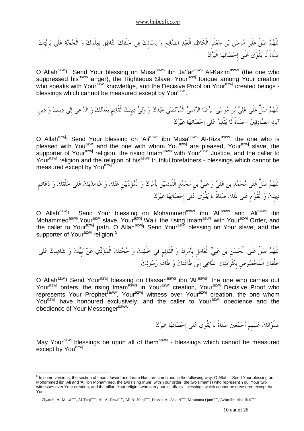اللَّهم صلِّ علَى موسى بنِ جعفَرٍ الْكَاظمِ الْعبد الصالحِ و لسانِك في خلْقك الناطقِ بِعلْمك و الْحجة علَى برِيتك صلَاةً لَا يقْوى علَى إِحصائها غَيرك

O Allah<sup>azwj</sup>! Send Your blessing on Musa<sup>asws</sup> ibn Ja'far<sup>asws</sup> Al-Kazim<sup>asws</sup> (the one who suppressed his<sup>asws</sup> anger), the Righteous Slave, Your<sup>azwj</sup> tongue among Your creation who speaks with Your<sup>azwj</sup> knowledge, and the Decisive Proof on Your<sup>azwj</sup> created beings blessings which cannot be measured except by You<sup>azwj</sup>.

اللَّهم صلِّ علَى علي بنِ موسى الرضا الرضي الْمرتضى عبدك و ولي دينِك الْقَائمِ بِعدلك و الداعي إِلَى دينِك و دينِ آبائه الصادقين -صلَاةً لَا يقْدر علَى إِحصائها غَيرك

O Allah<sup>azwj</sup>! Send Your blessing on 'Ali<sup>asws</sup> ibn Musa<sup>asws</sup> Al-Riza<sup>asws</sup>, the one who is pleased with You<sup>azwj</sup> and the one with whom You<sup>azwj</sup> are pleased, Your<sup>azwj</sup> slave, the supporter of Your<sup>azwj</sup> religion, the rising Imam<sup>asws</sup> with Your<sup>azwj</sup> Justice, and the caller to Your<sup>azwj</sup> religion and the religion of his<sup>asws</sup> truthlul forefathers - blessings which cannot be measured except by You<sup>azwj</sup>.

اللَّهم صلِّ علَى محمد بنِ يعل و علي بنِ محمد الْقَائمينِ بِأَمرِك و الْمؤديينِ عنك و شاهديك علَى خلْقك و دعائمِ دينِك و الْقُوامِ علَى ذَلك صلَاةً لَا يقْوى علَى إِحصائها غَيرك

O Allah<sup>azwj</sup>! Send Your blessing on Mohammed<sup>asws</sup> ibn 'Ali<sup>asws</sup> and 'Ali<sup>asws</sup> ibn Mohammed<sup>asws</sup>,Your<sup>azwj</sup> slave, Your<sup>azwj</sup> Wali, the rising Imam<sup>asws</sup> with Your<sup>azwj</sup> Order, and the caller to Your<sup>azwj</sup> path. O Allah<sup>azwj</sup>! Send Your<sup>azwj</sup> blessing on Your slave, and the supporter of Your<sup>azwj</sup> religion.<sup>5</sup>

اللَّهم لِّص علَى الْحسنِ بنِ علي الْعاملِ بِأَمرِك و الْقَائمِ في خلْقك و حجتك الْمؤدي عن نبِيك و شاهدك علَى خلْقك الْمخصوصِ بِكَرامتك الداعي إِلَى طَاعتك و طَاعة رسولك

O Allah<sup>azwj</sup>! Send Your<sup>azwj</sup> blessing on Hassan<sup>asws</sup> ibn 'Ali<sup>asws</sup>, the one who carries out Your<sup>azwj</sup> orders, the rising Imam<sup>asws</sup> in Your<sup>azwj</sup> creation, Your<sup>azwj</sup> Decisive Proof who represents Your Prophet<sup>saww</sup>, Your<sup>azwj</sup> witness over Your<sup>azwj</sup> creation, the one whom You<sup>azwj</sup> have honoured exclusively, and the caller to Your<sup>azwj</sup> obedience and the obedience of Your Messenger<sup>saww</sup>.

صَلَوَاتُكَ عَلَيْهِمْ أَجْمَعِينَ صَلَاةً لَا يَقْوَى عَلَى إِحْصَائِهَا غَيْرُكَ

May Your<sup>azwj</sup> blessings be upon all of them<sup>asws</sup> - blessings which cannot be measured except by You<sup>azwj</sup>.

<sup>&</sup>lt;sup>5</sup> In some versions, the section of Imam Jawad and Imam Hadi are combined in the following way: O Allah! Send Your blessing on Mohammed ibn 'Ali and 'Ali ibn Mohammed, the two rising Inunr. with Your order, the two (Imams) who represent You, Your two witnesses over Your creation, and the pillar, Your religion who carry out its affairs - blessings which cannot be measured except by You.

Ziyarah: Al-Musa<sup>asws</sup>, Al-Taqi<sup>asws</sup>, Ali Al-Reza<sup>asws</sup>, Ali Al-Naqi<sup>asws</sup>, Hassan Al-Askari<sup>asws</sup>, Masooma Qum<sup>asws</sup>, Azim ibn Abdillah<sup>asws</sup>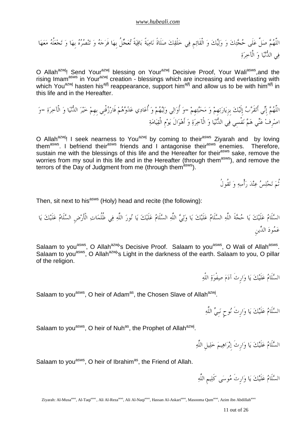اللَّهم صلِّ علَى حجتك و وليك و الْقَائمِ في خلْقك صلَاةً ناميةً باقيةً تعجلُ بِها فَرجه و تنصره بِها و تجعلُه معها في الدنيا و الْآخرة

O Allah<sup>azwj</sup>! Send Your<sup>azwj</sup> blessing on Your<sup>azwj</sup> Decisive Proof, Your Wali<sup>asws</sup>, and the rising Imam<sup>asws</sup> in Your<sup>azwj</sup> creation - blessings which are increasing and everlasting with which You<sup>azwj</sup> hasten his<sup>ajfj</sup> reappearance, support him<sup>ajfj</sup> and allow us to be with him<sup>ajfj</sup> in this life and in the Hereafter.

اللَّهم إِني أَتقَرب إِلَيك بِزِيارتهِم و محبتهِم -و أُوالي وليهم و أُعادي عدوهم فَارزقْنِي بِهِم خير الدنيا و الْآخرة -و اصرِف عني هم نفْسِي في الدنيا و الْآخرة و أَهوالَ يومِ الْقيامة

O Allah<sup>azwj</sup>! I seek nearness to You<sup>azwj</sup> by coming to their<sup>asws</sup> Ziyarah and by loving them<sup>asws</sup>. I befriend their<sup>asws</sup> friends and I antagonise their<sup>asws</sup> enemies. Therefore, sustain me with the blessings of this life and the Hereafter for their<sup>asws</sup> sake, remove the worries from my soul in this life and in the Hereafter (through them<sup>asws</sup>), and remove the terrors of the Day of Judgment from me (through them<sup>asws</sup>).

ثُم تجلس عند رأْسه و تقُولُ

Then, sit next to his<sup>asws</sup> (Holy) head and recite (the following):

السلَام علَيك يا حجةَ اللَّه السلَام علَيك يا ولي اللَّه السلَام علَيك يا نور اللَّه في ظُلُمات الْأَرضِ السلَام علَيك يا عمود الدينِ

Salaam to you<sup>asws</sup>, O Allah<sup>azwj</sup>'s Decisive Proof. Salaam to you<sup>asws</sup>, O Wali of Allah<sup>asws</sup>. Salaam to you<sup>asws</sup>, O Allah<sup>azwj</sup>'s Light in the darkness of the earth. Salaam to you, O pillar of the religion.

السلَام علَيك يا وارِثَ آدم صفْوة اللَّه

Salaam to you<sup>asws</sup>, O heir of Adam<sup>as</sup>, the Chosen Slave of Allah<sup>azwj</sup>.

السلَام علَيك يا وارِثَ نوحٍ نبِي اللَّه

Salaam to you<sup>asws</sup>, O heir of Nuh<sup>as</sup>, the Prophet of Allah<sup>azwj</sup>.

السلَام علَيك يا وارِثَ إِبراهيم خليلِ اللَّه

Salaam to you<sup>asws</sup>, O heir of Ibrahim<sup>as</sup>, the Friend of Allah.

السلَام علَيك يا وارِثَ موسى كَليمِ اللَّه

Ziyarah: Al-Musa<sup>asws</sup>, Al-Taqi<sup>asws</sup>, Ali Al-Reza<sup>asws</sup>, Ali Al-Naqi<sup>asws</sup>, Hassan Al-Askari<sup>asws</sup>, Masooma Qum<sup>asws</sup>, Azim ibn Abdillah<sup>asws</sup>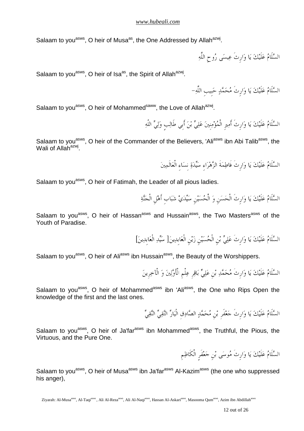Salaam to you<sup>asws</sup>, O heir of Musa<sup>as</sup>, the One Addressed by Allah<sup>azwj</sup>.

السلَام علَيك يا وارِثَ عيسى روحِ اللَّه

Salaam to you<sup>asws</sup>, O heir of Isa<sup>as</sup>, the Spirit of Allah<sup>azwj</sup>.

السَّلَامُ عَلَيْكَ يَا وَارِثَ مُحَمَّدٍ حَبيبِ اللَّهِ–

Salaam to you<sup>asws</sup>, O heir of Mohammed<sup>saww</sup>, the Love of Allah<sup>azwj</sup>.

السَّلَامُ عَلَيْكَ يَا وَارِثَ أَمِيرِ الْمُؤْمِنينَ عَلِيٍّ بْنَ أَبِي طَالِبٍ وَلِيٍّ اللَّهِ

Salaam to you<sup>asws</sup>, O heir of the Commander of the Believers, 'Ali<sup>asws</sup> ibn Abi Talib<sup>asws</sup>, the Wali of Allah<sup>azwj</sup>.

السَّلَامُ عَلَيْكَ يَا وَارِثَ فَاطِمَةَ الزَّهْرَاءِ سَيِّدَةِ نِسَاءِ الْعَالَمِينَ

Salaam to you<sup>asws</sup>, O heir of Fatimah, the Leader of all pious ladies.

السَّلَامُ عَلَيْكَ يَا وَارِثَ الْحَسَنِ وَ الْحُسَيْنِ سَيِّدَيْ شَبَابٍ أَهْلِ الْجَنَّةِ

Salaam to you<sup>asws</sup>, O heir of Hassan<sup>asws</sup> and Hussain<sup>asws</sup>, the Two Masters<sup>asws</sup> of the Youth of Paradise.

السَّلَامُ عَلَيْكَ يَا وَارِثَ عَلِيٌّ بْنِ الْحُسَيْنِ زَيْنِ الْعَابِدِينَ[ سَيِّدِ الْعَابِدِينَ]

Salaam to you<sup>asws</sup>, O heir of Ali<sup>asws</sup> ibn Hussain<sup>asws</sup>, the Beauty of the Worshippers.

السَّلَامُ عَلَيْكَ يَا وَارِثَ مُحَمَّدِ بْنِ عَلِيٍّ بَاقِرِ عِلْمِ الْأَوَّلِينَ وَ الْآخِرِينَ

Salaam to you<sup>asws</sup>, O heir of Mohammed<sup>asws</sup> ibn 'Ali<sup>asws</sup>, the One who Rips Open the knowledge of the first and the last ones.

السَّلَامُ عَلَيْكَ يَا وَارِثَ جَعْفَرِ بْنِ مُحَمَّدٍ الصَّادِقِ الْبَارِّ التَّقِيِّ النَّقِيِّ

Salaam to you<sup>asws</sup>, O heir of Ja'far<sup>asws</sup> ibn Mohammed<sup>asws</sup>, the Truthful, the Pious, the Virtuous, and the Pure One.

السلَام علَيك يا وارِثَ موسى بنِ جعفَرٍ الْكَاظمِ

Salaam to you<sup>asws</sup>, O heir of Musa<sup>asws</sup> ibn Ja'far<sup>asws</sup> Al-Kazim<sup>asws</sup> (the one who suppressed his anger).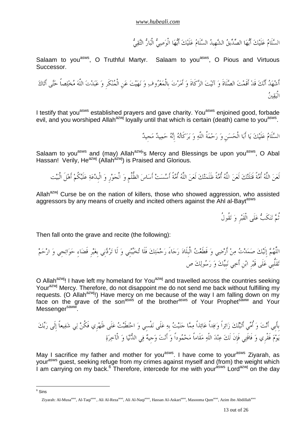السَّلَامُ عَلَيْكَ أَيُّهَا الصِّدِّيقُ الشَّهيدُ السَّلَامُ عَلَيْكَ أَيُّهَا الْوَصِيُّ الْبَارُّ التَّقِيُّ

Salaam to you<sup>asws</sup>, O Truthful Martyr. Salaam to you<sup>asws</sup>, O Pious and Virtuous Successor.

أشْهَدُ أَنّكَ قَدْ أَقَمْتَ الصَّلَاةَ وَ آتَيْتَ الزَّكَاةَ وَ أَمَرْتَ بِالْمَعْرُوفِ وَ نَهَيْتَ عَنِ الْمُنْكَرِ وَ عَبَدْتَ اللّهَ مُخْلِصاً حَتَّى أَتَاكَ الْيقين

I testify that you<sup>asws</sup> established prayers and gave charity. You<sup>asws</sup> enjoined good, forbade evil, and you worshiped Allah<sup>azwj</sup> loyally until that which is certain (death) came to you<sup>asws</sup>.

السَّلَامُ عَلَيْكَ يَا أَبَا الْحَسَنِ وَ رَحْمَةُ اللَّهِ وَ بَرَكَاتُهُ إِنَّهُ حَمِيدٌ مَحيدٌ

Salaam to you<sup>asws</sup> and (may) Allah<sup>azwj</sup>'s Mercy and Blessings be upon you<sup>asws</sup>, O Abal Hassan! Verily, He<sup>azwj</sup> (Allah<sup>azwj</sup>) is Praised and Glorious.

لَعن اللَّه أُمةً قَتلَتك لَعن اللَّه أُمةً ظَلَمتك لَعن اللَّه أُمةً أَسست أَساس الظُّلْمِ و الْجورِ و الْبِدعة علَيكُم أَهلَ الْبيت

Allah<sup>azwj</sup> Curse be on the nation of killers, those who showed aggression, who assisted aggressors by any means of cruelty and incited others against the Ahl al-Bayt<sup>asws</sup>

ثُمَّ تَنكَبُّ عَلَى الْقَبْرِ وَ تَقُولُ

Then fall onto the grave and recite (the following):

6 Sins

اللَّهُمَّ إِلَيْكَ صَمَدْتُ مِنْ أَرْضِي وَ قَطَعْتُ الْبِلَادَ رَحَاءَ رَحْمَتِكَ فَلَا تُخَيِّبْنِي وَ لَا تَرُدَّني بغَيْر قَضَاءِ حَوَائِجِي وَ ارْحَمْ تَقَلُّبِي عَلَى قَبْرِ ابْنِ أَخِي نَبِيِّكَ وَ رَسُولِكَ ص

O Allah<sup>azwj</sup>! I have left my homeland for You<sup>azwj</sup> and travelled across the countries seeking Your<sup>azwj</sup> Mercy. Therefore, do not disappoint me do not send me back without fulfilling my requests. (O Allah<sup>azwj</sup>!) Have mercy on me because of the way I am falling down on my face on the grave of the son<sup>asws</sup> of the brother<sup>asws</sup> of Your Prophet<sup>saww</sup> and Your Messenger<sup>saww</sup>.

بِأَبِيأَنتوأُميأَتيتكزائراًوافداًعائذاًمماجنيتبِهعلَىنفْسِيواحتطَبتعلَىظَهرِيفَكُنليشفيعاًإِلَىربك يومفَقْرِيوفَاقَتي فَإِنَلَكعنداللَّهمقَاماًمحموداًوأَنتوجِيه يف الدنياوالْآخرة

May I sacrifice my father and mother for you<sup>asws</sup>. I have come to your<sup>asws</sup> Ziyarah, as your<sup>asws</sup> guest, seeking refuge from my crimes against myself and (from) the weight which I am carrying on my back.<sup>6</sup> Therefore, intercede for me with your<sup>asws</sup> Lord<sup>azwj</sup> on the day

Ziyarah: Al-Musa<sup>asws</sup>, Al-Taqi<sup>asws</sup>, Ali Al-Reza<sup>asws</sup>, Ali Al-Naqi<sup>asws</sup>, Hassan Al-Askari<sup>asws</sup>, Masooma Oum<sup>asws</sup>, Azim ibn Abdillah<sup>asws</sup>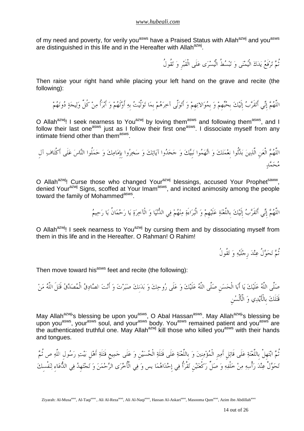of my need and poverty, for verily you<sup>asws</sup> have a Praised Status with Allah<sup>azwj</sup> and you<sup>asws</sup> are distinguished in this life and in the Hereafter with Allah<sup>azwj</sup>.

تُمَّ تَرْفَعُ يَدَكَ الْيُمْنَى وَ تَبْسُطُ الْيُسْرَى عَلَى الْقَبْرِ وَ تَقُولُ

Then raise your right hand while placing your left hand on the grave and recite (the following):

اللَّهُمَّ إنِّي أَتقَرَّبُ إِلَيْكَ بِحُبِّهمْ وَ بِمُوَالاتِهمْ وَ أَتَوَلَّى آخِرَهُمْ بِمَا تَوَلَّيتُ بِهِ أَوَّلَهُمْ وَ أَبْرَأُ مِنْ كُلِّ وَلِيجَةٍ دُونَهُمْ

O Allah<sup>azwj</sup>! I seek nearness to You<sup>azwj</sup> by loving them<sup>asws</sup> and following them<sup>asws</sup>, and I follow their last one<sup>asws</sup> just as I follow their first one<sup>asws</sup>. I dissociate myself from any intimate friend other than them<sup>asws</sup>.

اللَّهُمَّ الْعَن الَّذِينَ بَدَّلُوا نعْمَتَكَ وَ اتَّهَمُوا نَبِيَّكَ وَ جَحَدُوا آياتِكَ وَ سَخِرُوا بِإِمَامِكَ وَ حَمَلُوا النَّاسَ عَلَى أَكْتَافِ آل مُحَمَّدِ

O Allah<sup>azwi</sup>! Curse those who changed Your<sup>azwj</sup> blessings, accused Your Prophet<sup>saww</sup>, denied Your<sup>azwj</sup> Signs, scoffed at Your Imam<sup>asws</sup>, and incited animosity among the people toward the family of Mohammed<sup>asws</sup>.

اللَّهُمَّ إِنِّي أَتقَرَّبُ إِلَيْكَ بِاللَّعْنَةِ عَلَيْهِمْ وَ الْبَرَاءَةِ مِنْهُمْ فِي الدُّنْيَا وَ الْآخِرَةِ يَا رَحْمَانُ يَا رَحِيمُ

O Allah<sup>azwj</sup>! I seek nearness to You<sup>azwj</sup> by cursing them and by dissociating myself from them in this life and in the Hereafter. O Rahman! O Rahim!

ثُمَّ تَحَوَّلُ عِنْدَ رِجْلَيْهِ وَ تَقُولُ

Then move toward his<sup>asws</sup> feet and recite (the following):

صَلَّى اللَّهُ عَلَيْكَ يَا أَبَا الْحَسَنِ صَلَّى اللَّهُ عَلَيْكَ وَ عَلَى رُوحِكَ وَ بَدَنكَ صَبَرْتَ وَ أَنْتَ الصَّادِقُ الْمُصَدَّقُ قَتَلَ اللَّهُ مَنْ قَتَلَكَ بِالْأَيْدِي وَ الْأَلْسُنِ

May Allah<sup>azwj</sup>'s blessing be upon you<sup>asws</sup>, O Abal Hassan<sup>asws</sup>. May Allah<sup>azwj</sup>'s blessing be upon you<sup>asws</sup>, your<sup>asws</sup> soul, and your<sup>asws</sup> body. You<sup>asws</sup> remained patient and you<sup>asws</sup> are the authenticated truthful one. May Allah<sup>azwj</sup> kill those who killed you<sup>asws</sup> with their hands and tongues.

تُمَّ ابْتَهلْ باللَّعْنَةِ عَلَى قَاتِلِ أَمِيرِ الْمُؤْمِنِينَ وَ باللَّعْنَةِ عَلَى قَتَلَةِ الْحُسَيْنِ وَ عَلَى جَمِيعِ قَتَلَةِ أَهْلِ بَيْتِ رَسُولِ اللَّهِ ص تُمَّ تَحَوَّلْ عِنْدَ رَأْسِهِ مِنْ خَلْفِهِ وَ صَلٍّ رَكْعَتَيْن تَقْرَأُ فِي إحْدَاهُمَا يس وَ فِي الْأُخْرَى الرَّحْمَنَ وَ تَحْتَهِدُ فِي الدُّعَاء لِنَفْسكَ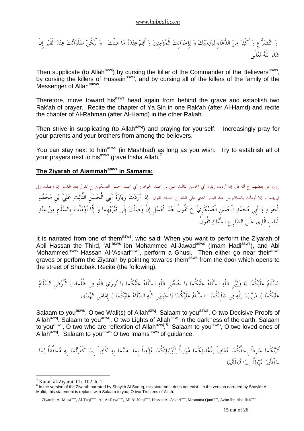و التضرعِ و أَكْثر من الدعاءِ لوالديك و لإِخوانِك الْمؤمنِين و أَقم عنده ما شئْت -و لْيكُن صلَواتك عند الْقَبرِ إِنْ شاءَ اللَّه تعالَى

Then supplicate (to Allah<sup>azwj</sup>) by cursing the killer of the Commander of the Believers<sup>asws</sup>, by cursing the killers of Hussain<sup>asws</sup>, and by cursing all of the killers of the family of the Messenger of Allah<sup>saww</sup>.

Therefore, move toward his<sup>asws</sup> head again from behind the grave and establish two Rak'ah of prayer. Recite the chapter of Ya Sin in one Rak'ah (after Al-Hamd) and recite the chapter of Al-Rahman (after Al-Hamd) in the other Rakah.

Then strive in supplicating (to Allah<sup>azwj</sup>) and praying for yourself. Increasingly pray for your parents and your brothers from among the believers.

You can stay next to him<sup>asws</sup> (in Mashhad) as long as you wish. Try to establish all of your prayers next to his<sup>asws</sup> grave Insha Allah.<sup>7</sup>

## **The Ziyarah of Aiammahasws in Samarra:**

روي عن بعضهم ع أنه قال إذا أردت زيارة أبي الحسن الثالث علي بن محمد الجواد و أبي محمد الحسن العسكري ع تقول بعد الغسل إن وصلت إلى قبريهما و إلا أومأت بالسلام من عند الباب الذي على الشارع الشباك تقول إِذَا أَرَدْتَ زِيَارَةَ أَبِي الْحَسَنِ الثَّالِثِ عَلِيٍّ بْنِ مُحَمَّلٍ الْجَوَادِ وَ أَبِي مُحَمَّدٍ الْحَسَنِ الْعَسْكَرِيِّ ع تَقُولُ بَعْدَ الْغُسْلِ إِنْ وَصَلْتَ إِلَى قَبْرَيْهِمَا وَ إِلَّا أَوْمَأْتَ بِالسَّلَامِ مِنْ عِنْدِ الْبابِ الَّذي علَى الشارِعِ الشباك تقُولُ

It is narrated from one of them<sup>asws</sup>, who said: When you want to perform the Ziyarah of Abil Hassan the Third, 'Ali<sup>asws</sup> ibn Mohammed Al-Jawad<sup>asws</sup> (Imam Hadi<sup>asws</sup>), and Abi Mohammed<sup>asws</sup> Hassan Al-'Askari<sup>asws</sup>, perform a Ghusl. Then either go near their<sup>asws</sup> graves or perform the Ziyarah by pointing towards them<sup>asws</sup> from the door which opens to the street of Shubbak. Recite (the following):

السلَام علَيكُما يا ولييِ اللَّه السلَام علَيكُما يا حجتيِ اللَّه السلَام علَيكُما يا نوريِ اللَّه في ظُلُمات الْأَرضِ السلَام عَلَيْكُمَا يَا مَنْ بَدَا لِلَّهِ فِي شَأْنِكُمَا –السَّلَامُ عَلَيْكُمَا يَا حَبِيبَيِ اللَّهِ السَّلَامُ عَلَيْكُمَا يَا إِمَامَى الْهُدَى

Salaam to you<sup>asws</sup>, O two Wali(s) of Allah<sup>azwj</sup>. Salaam to you<sup>asws</sup>, O two Decisive Proofs of Allah<sup>azwj</sup>. Salaam to you<sup>asws</sup>, O two Lights of Allah<sup>azwj</sup> in the darkness of the earth. Salaam to you<sup>asws</sup>, O two who are reflextion of Allah<sup>azwj8</sup> Salaam to you<sup>asws</sup>, O two loved ones of Allah<sup>azwj</sup>. Salaam to you<sup>asws</sup> O two Imams<sup>asws</sup> of guidance.

أَتيتكُما عارِفاً بِحقِّكُما معادياً لأَعدائكُما موالياً لأَوليائكُما مؤمناً بِما آمنتما هبِ كَافراً بِما كَفَرتما بِه محقِّقاً لما حقَّقْتما مبطلًا لما أَبطَلْتما

<sup>7</sup> Kamil al-Ziyarat, Ch. 102, h, 1

<sup>&</sup>lt;sup>8</sup> In the version of the Ziyarah narrated by Shaykh Al-Saduq, this statement does not exist. In the version narrated by Shaykh Al-Mufid, this statement is replace with Salaam to you, O two Trustees of Allah.

Ziyarah: Al-Musa<sup>asws</sup>, Al-Taqi<sup>asws</sup>, Ali Al-Reza<sup>asws</sup>, Ali Al-Naqi<sup>asws</sup>, Hassan Al-Askari<sup>asws</sup>, Masooma Qum<sup>asws</sup>, Azim ibn Abdillah<sup>asws</sup>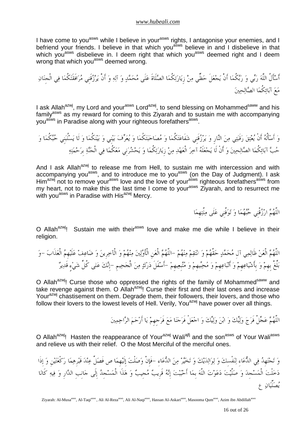I have come to you<sup>asws</sup> while I believe in your<sup>asws</sup> rights, I antagonise your enemies, and I befriend your friends. I believe in that which you<sup>asws</sup> believe in and I disbelieve in that which you<sup>asws</sup> disbelieve in. I deem right that which you<sup>asws</sup> deemed right and I deem wrong that which you<sup>asws</sup> deemed wrong.

أَسأَلُ اللَّه ربي و ربكُما أَنْ يجعلَ حظِّي من زِيارتكُما الصلَاةَ علَى محمد و آله و أَنْ يرزقَنِي مرافَقَتكُما في الْجِنان مع آبائكُما الصالحين

I ask Allah<sup>azwj</sup>, my Lord and your<sup>asws</sup> Lord<sup>azwj</sup>, to send blessing on Mohammed<sup>saww</sup> and his family<sup>asws</sup> as my reward for coming to this Ziyarah and to sustain me with accompanying you<sup>asws</sup> in Paradise along with your righteous forefathers<sup>asws</sup>.

و أَسأَلُه أَنْ يعتق رقَبتي من النارِ و يرزقَنِي شفَاعتكُما و مصاحبتكُما و يعرف بينِي و بينكُما و لَا يسلُبنِي حبكُما و حب آبائكُما الصالحين و أَنْ لَا يجعلَه آخر الْعهد من زِيارتكُما و يحشرنِي معكُما في الْجنة بِرحمته

And I ask Allah $a^{2x}$  to release me from Hell, to sustain me with intercession and with accompanying you<sup>asws</sup>, and to introduce me to you<sup>asws</sup> (on the Day of Judgment). I ask Him<sup>azwj</sup> not to remove your<sup>asws</sup> love and the love of your<sup>asws</sup> righteous forefathers<sup>asws</sup> from my heart, not to make this the last time I come to your<sup>asws</sup> Ziyarah, and to resurrect me with you<sup>asws</sup> in Paradise with His<sup>azwj</sup> Mercy.

اللَّهُمَّ ارْزُقْنِي حُبَّهُمَا وَ تَوَفَّنِي عَلَى مِلَّتِهِمَا

O Allah<sup>azwj</sup>! Sustain me with their<sup>asws</sup> love and make me die while I believe in their religion.

اللَّهم الْعن ظَالمي آلِ محمد حقَّهم و انتقم منهم -اللَّهم الْعنِ الْأَولين منهم و الْآخرِين و ضاعف علَيهِم الْعذَاب -و بلِّغْ بِهِم و بِأَشياعهِم و أَتباعهِم و محبيهِم و متبِعيهِم -أَسفَلَ درك من الْجحيمِ -إِنك على كُلِّ ءٍ شي قَدير

O Allah<sup>azwj</sup>! Curse those who oppressed the rights of the family of Mohammed<sup>saww</sup> and take revenge against them. O Allah<sup>azwj</sup>! Curse their first and their last ones and increase Your<sup>azwj</sup> chastisement on them. Degrade them, their followers, their lovers, and those who follow their lovers to the lowest levels of Hell. Verily, You<sup>azwj</sup> have power over all things.

اللَّهُمَّ عَجِّلْ فَرَجَ وَلِيِّكَ وَ ابْنَ وَلِيِّكَ وَ اجْعَلْ فَرَجَنَا مَعَ فَرَجهِمْ يَا أَرْحَمَ الرَّاحِمِينَ

O Allah<sup>azwj</sup>! Hasten the reappearance of Your<sup>azwj</sup> Wali<sup>ajfj</sup> and the son<sup>asws</sup> of Your Wali<sup>asws</sup> and relieve us with their relief. O the Most Merciful of the merciful ones.

وَ تَحْتَهِدُ فِي الدُّعَاءِ لِنَفْسِكَ وَ لِوَالِدَيْكَ وَ تَخَيَّرْ مِنَ الدُّعَاءِ –فَإِنْ وَصَلْتَ إِلَيْهِمَا ص فَصَلِّ عِنْدَ قَبْرِهِمَا رَكْعَتَيْنِ وَ إِذَا دخلْت الْمسجِد و صلَّيت دعوت اللَّه بِما أَحببت إِنه قَرِيب مجِيب و هذَا الْمسجِد إِلَى جانِبِ الدارِ و فيه كَانا يصلِّيان ع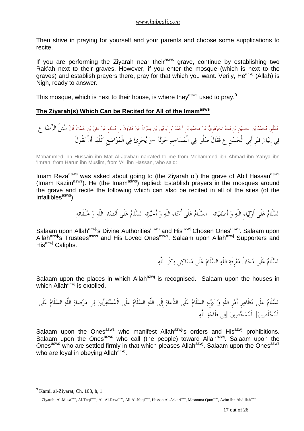Then strive in praying for yourself and your parents and choose some supplications to recite.

If you are performing the Ziyarah near their<sup>asws</sup> grave, continue by establishing two Rak'ah next to their graves. However, if you enter the mosque (which is next to the graves) and establish prayers there, pray for that which you want. Verily,  $He^{azwj}$  (Allah) is Nigh, ready to answer.

This mosque, which is next to their house, is where the  $v^{asws}$  used to pray.<sup>9</sup>

## **The Ziyarah(s) Which Can be Recited for All of the Imamasws**

حدثَنِيمحمدبنالْحسينِبنِمتالْجوهرِيعنمحمدبنِأَحمدبنِيحيىبنِعمرانَعنهارونَبنِمسلمٍعنعليبنِحسانَ قَالَسئلَ الرضا ع في إِتيان قَبرِ أَبِي الْحسنِ ع فَقَالَ صلُّوا في الْمساجِد حولَه -و يجزِئ في الْمواضعِ كُلِّها أَنْ تقُولَ

Mohammed ibn Hussain ibn Mat Al-Jawhari narrated to me from Mohammed ibn Ahmad ibn Yahya ibn 'Imran, from Harun ibn Muslim, from 'Ali ibn Hassan, who said:

Imam Reza<sup>asws</sup> was asked about going to (the Ziyarah of) the grave of Abil Hassan<sup>asws</sup> (Imam Kazimasws). He (the Imamasws) replied: Establish prayers in the mosques around the grave and recite the following which can also be recited in all of the sites (of the  $Infallibles<sup>asws</sup>)$ :

السلَام علَى أَولياءِ اللَّه و أَصفيائه -السلَام علَى أُمناءِ اللَّه و أَحبائه السلَام علَى أَنصارِ اللَّه و خلَفَائه

Salaam upon Allah<sup>azwj</sup>'s Divine Authorities<sup>asws</sup> and His<sup>azwj</sup> Chosen Ones<sup>asws</sup>. Salaam upon Allah<sup>azwj</sup>'s Trustees<sup>asws</sup> and His Loved Ones<sup>asws</sup>. Salaam upon Allah<sup>azwj</sup> Supporters and His<sup>azwj</sup> Caliphs.

السلَام علَى محالِّ معرِفَة اللَّه السلَام علَى مساكنِ ذكْرِ اللَّه

Salaam upon the places in which Allah<sup>azwj</sup> is recognised. Salaam upon the houses in which Allah $a^{z}$ <sup>yj</sup> is extolled.

السلَام ىعلَ مظَاهرِ أَمرِ اللَّه و نهيِه السلَام علَى الدعاة إِلَى اللَّه السلَام علَى الْمستقرين في مرضاة اللَّه السلَام علَى الْمخلَصين ]الْممحصين[ في طَاعة اللَّه

Salaam upon the Ones<sup>asws</sup> who manifest Allah<sup>azwj</sup>'s orders and His<sup>azwj</sup> prohibitions. Salaam upon the Ones<sup>asws</sup> who call (the people) toward Allah<sup>azwj</sup>. Salaam upon the Ones<sup>asws</sup> who are settled firmly in that which pleases Allah<sup>azwj</sup>. Salaam upon the Ones<sup>asws</sup> who are loyal in obeying Allah<sup>azwj</sup>.

<sup>&</sup>lt;sup>9</sup> Kamil al-Ziyarat, Ch. 103, h, 1

Ziyarah: Al-Musa<sup>asws</sup>, Al-Taqi<sup>asws</sup>, Ali Al-Reza<sup>asws</sup>, Ali Al-Naqi<sup>asws</sup>, Hassan Al-Askari<sup>asws</sup>, Masooma Qum<sup>asws</sup>, Azim ibn Abdillah<sup>asws</sup>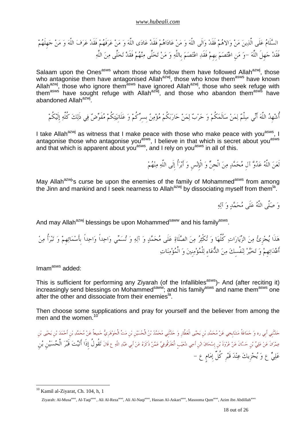السلَام علَى الَّذين من والاهم فَقَد والَى اللَّه و من عاداهم فَقَد عادى اللَّه و من عرفَهم فَقَد عرف اللَّه و من جهِلَهم فَقَد جهِلَ اللَّه -و منِ اعتصم بِهِم فَقَد اعتصم بِاللَّه و من تخلَّى منهم قَدفَ تخلَّى من اللَّه

Salaam upon the Ones<sup>asws</sup> whom those who follow them have followed Allah<sup>azwj</sup>, those who antagonise them have antagonised Allah<sup>azwj</sup>, those who know them<sup>asws</sup> have known Allah<sup>azwj</sup>, those who ignore them<sup>asws</sup> have ignored Allah<sup>azwj</sup>, those who seek refuge with them<sup>asws</sup> have sought refuge with Allah<sup>azwj</sup>, and those who abandon them<sup>asws</sup> have abandoned Allah<sup>azwj</sup>.

أُشْهِدُ اللَّهَ أَنِّي سِلْمٌ لِمَنْ سَالَمَكُمْ وَ حَرْبٌ لِمَنْ حَارَبَكُمْ مُؤْمِنٌ بِسرِّكُمْ وَ عَلَانِيَتِكُمْ مُفَوِّضٌ فِي ذَلِكَ كُلِّهِ إِلَيْكُمْ

I take Allah<sup>azwj</sup> as witness that I make peace with those who make peace with you<sup>asws</sup>, I antagonise those who antagonise you<sup>asws</sup>, I believe in that which is secret about you<sup>asws</sup> and that which is apparent about you<sup>asws</sup>, and I rely on you<sup>asws</sup> in all of this.

لَعَنَ اللَّهُ عَدُوَّ آلِ مُحَمَّدٍ مِنَ الْجنٌ وَ الْإِنْسِ وَ أَبْرَأُ إِلَى اللَّهِ مِنْهُمْ

May Allah<sup>azwj</sup>'s curse be upon the enemies of the family of Mohammed<sup>asws</sup> from among the Jinn and mankind and I seek nearness to Allah<sup>azwj</sup> by dissociating myself from them<sup>la</sup>.

و صلَّى اللَّه علَى محمد و آله

And may Allah<sup>azwj</sup> blessings be upon Mohammed<sup>saww</sup> and his family<sup>asws</sup>.

هَذَا يُجْزِئُ مِنَ الزِّيَارَاتِ كُلِّهَا وَ تُكْثِرُ مِنَ الصَّلَاةِ عَلَى مُحَمَّدٍ وَ آلِهِ وَ تُسمَّى وَاحِداً وَاحِداً بِأَسْمَائِهِمْ وَ تَبْرَأُ مِنْ أَعْدَائِهِمْ وَ تَخَيَّرْ لِنَفْسكَ مِنَ الدُّعَاءِ لِلْمُؤْمِنِينَ وَ الْمُؤْمِنَاتِ

Imam<sup>asws</sup> added:

This is sufficient for performing any Ziyarah (of the Infallibles<sup>asws</sup>)- And (after reciting it) increasingly send blessings on Mohammed<sup>saww</sup>; and his family<sup>asws</sup> and name them<sup>asws</sup> one after the other and dissociate from their enemies<sup>la</sup>.

Then choose some supplications and pray for yourself and the believer from among the men and the women.<sup>10</sup>

حَدَّنْني أبي ره وَ حَمَاعَةُ مَشَايِخِي عَنْ مُحَمَّدِ بْن يَحْيَى الْعَطَّارِ وَ حَدَّنْنِي مُحَمَّدُ بْنُ الْحُسَيْنِ بْن مَتٍّ الْجَوْهَرِيُّ حَمِيعاً عَنْ مُحَمَّدِ بْنِ يَحْيَى بْن عِمْرَانَ عَنْ عَلِيٍّ بْنِ حَسَّانَ عَنْ عُرْوَةَ بْنِ إِسْحَاقَ ابْنِ أَخِي شُعَيْبِ الْعَقَرْقُوفِيٍّ عَمَّنْ ذَكَرَهُ عَنْ أَبِي عَبْدِ اللَّهِ ع قَالَ تَقُولُ إِذَا أَتَيْتَ قَبْرَ الْحُسَيْنِ بْنِ عَلِيٌّ ع وَ يُجْزِيكَ عِنْدَ قَبْرِ كُلِّ إِمَامٍ ع –

<sup>&</sup>lt;sup>10</sup> Kamil al-Ziyarat, Ch. 104, h, 1

Ziyarah: Al-Musa<sup>asws</sup>, Al-Taqi<sup>asws</sup>, Ali Al-Reza<sup>asws</sup>, Ali Al-Naqi<sup>asws</sup>, Hassan Al-Askari<sup>asws</sup>, Masooma Qum<sup>asws</sup>, Azim ibn Abdillah<sup>asws</sup>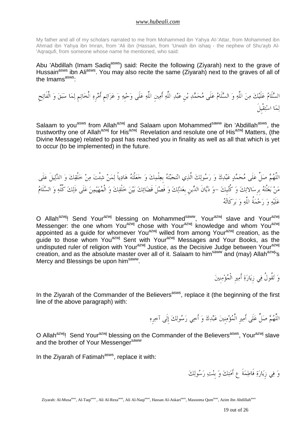My father and all of my scholars narrated to me from Mohammed ibn Yahya AI-'Attar, from Mohammed ibn Ahmad ibn Yahya ibn Imran, from 'Ali ibn (Hassan, from 'Urwah ibn ishaq - the nephew of Shu'ayb Al- 'Aqraqufi, from someone whose name he mentioned, who said:

Abu 'Abdillah (Imam Sadiq<sup>asws</sup>) said: Recite the following (Ziyarah) next to the grave of Hussain<sup>asws</sup> ibn Ali<sup>asws</sup>. You may also recite the same (Ziyarah) next to the graves of all of the Imams<sup>asws</sup>:

السَّلَامُ عَلَيْكَ مِنَ اللَّهِ وَ السَّلَامُ عَلَى مُحَمَّدِ بْن عَبْدِ اللَّهِ أَمِينِ اللَّهِ عَلَى وَحْيهِ وَ عَزَائِم أَمْرِهِ الْخَاتِمِ لِمَا سَبَقَ وَ الْفَاتِحِ لما استقْبِلَ

Salaam to you<sup>asws</sup> from Allah<sup>azwj</sup> and Salaam upon Mohammed<sup>saww</sup> ibn 'Abdillah<sup>asws</sup>, the trustworthy one of Allah<sup>azwj</sup> for His<sup>azwj</sup> Revelation and resolute one of His<sup>azwj</sup> Matters, (the Divine Message) related to past has reached you in finality as well as all that which is yet to occur (to be implemented) in the future.

اللَّهُمَّ صَلِّ عَلَى مُحَمَّدٍ عَبْدِكَ وَ رَسُولِكَ الَّذِي انْتَجَبَّتُهُ بِعِلْمِكَ وَ جَعَلْتَهُ هَادِياً لِمَنْ شِئْتَ مِنْ خَلْقِكَ وَ الدَّلِيلَ عَلَى من بعثْته بِرِسالاتك و كُتبِك -و ديانَ الدينِ بِعدلك و فَصلَ قَضائك بين خلْقك و الْمهيمن علَى ذَلك كُلِّه و السلَام علَيه و رحمةُ اللَّه و بركَاته

O Allah<sup>azwj</sup>! Send Your<sup>azwj</sup> blessing on Mohammed<sup>saww</sup>, Your<sup>azwj</sup> slave and Your<sup>azwj</sup> Messenger: the one whom You<sup>azwj</sup> chose with Your<sup>azwj</sup> knowledge and whom You<sup>azwj</sup> appointed as a guide for whomever You<sup>azwj</sup> willed from among Your<sup>azwj</sup> creation, as the guide to those whom You<sup>azwj</sup> Sent with Your<sup>azwj</sup> Messages and Your Books, as the undisputed ruler of religion with Your<sup>azwj</sup> Justice, as the Decisive Judge between Your<sup>azwj</sup> creation, and as the absolute master over all of it. Salaam to him<sup>saww</sup> and (may) Allah<sup>azwj</sup>'s Mercy and Blessings be upon him<sup>saww</sup>.

و تقُولُ في زِيارة أَميرِ الْمؤمنِين

In the Ziyarah of the Commander of the Believers<sup>asws</sup>, replace it (the beginning of the first line of the above paragraph) with:

اللَّهُمَّ صَلِّ عَلَى أَمِيرِ الْمُؤْمِنِينَ عَبْدِكَ وَ أَخِي رَسُولِكَ إِلَى آخِرِهِ

O Allah<sup>azwj</sup>! Send Your<sup>azwj</sup> blessing on the Commander of the Believers<sup>asws</sup>, Your<sup>azwj</sup> slave and the brother of Your Messenger<sup>saww</sup>

In the Ziyarah of Fatimah<sup>asws</sup>, replace it with:

و في زِيارة فَاطمةَ ع أَمتك و بِنت رسولك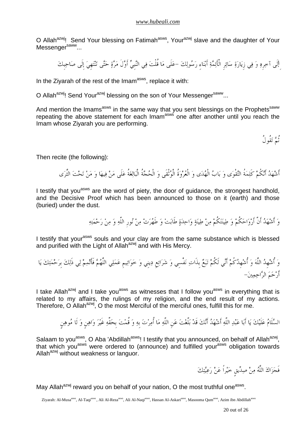O Allah<sup>azwj</sup>! Send Your blessing on Fatimah<sup>asws</sup>, Your<sup>azwj</sup> slave and the daughter of Your Messenger<sup>saww</sup>...

ِإلَى آخرِه و في زِيارة سائرِ الْأَئمة أَبناءِ رسولك -علَى ما قُلْت في النبِي أَولَ مرة حتى تنتهِي إِلَى صاحبِك

In the Ziyarah of the rest of the Imam<sup>asws</sup>, replace it with:

O Allah<sup>azwj</sup>! Send Your<sup>azwj</sup> blessing on the son of Your Messenger<sup>saww</sup>...

And mention the Imams<sup>asws</sup> in the same way that you sent blessings on the Prophets<sup>saww</sup> repeating the above statement for each Imam<sup>asws</sup> one after another until you reach the Imam whose Ziyarah you are performing.

ثُم تقُولُ

Then recite (the following):

أَشهد أَنكُم كَلمةُ التقْوى و باب الْهدى و الْعروةُ الْوثْقَى و الْحجةُ الْبالغةُ علَى من فيها و من تحت الثَّرى

I testify that you<sup>asws</sup> are the word of piety, the door of quidance, the strongest handhold, and the Decisive Proof which has been announced to those on it (earth) and those (buried) under the dust.

و أَشهد أَنَّ أَرواحكُم و طينتكُم من طينة واحدة طَابت و طَهرت من نورِ اللَّه و من رحمته

I testify that your<sup>asws</sup> souls and your clay are from the same substance which is blessed and purified with the Light of Allah $a$ <sup>azwj</sup> and with His Mercy.

و أُشهِد اللَّه و أُشهِدكُم أَني لَكُم تبع بِذَات نفْسِي و شرائعِ دينِي و خواتيمِ عملي اللَّهم فَأَتمم لي ذَلك بِرحمتك يا أَرحم الراحمين -

I take Allah<sup>azwj</sup> and I take you<sup>asws</sup> as witnesses that I follow you<sup>asws</sup> in everything that is related to my affairs, the rulings of my religion, and the end result of my actions. Therefore, O Allah<sup>azwj</sup>, O the most Merciful of the merciful ones, fulfill this for me.

السَّلَامُ عَلَيْكَ يَا أَبَا عَبْدِ اللَّهِ أَشْهَدُ أَنَّكَ قَدْ بَلَّغْتَ عَنِ اللَّهِ مَا أُمِرْتَ بِهِ وَ قُمْتَ بِحَقِّهِ غَيْرَ وَاهِنٍ وَ لَا مُوهِنِ

Salaam to you<sup>asws</sup>, O Aba 'Abdillah<sup>asws</sup>! I testify that you announced, on behalf of Allah<sup>azwj</sup>, that which you<sup>asws</sup> were ordered to (announce) and fulfilled your<sup>asws</sup> obligation towards Allah<sup>azwj</sup> without weakness or languor.

فَجَزَاكَ اللَّهُ مِنْ صِدِّيق خَيْراً عَنْ رَعِيَّتِكَ

May Allah<sup>azwj</sup> reward you on behalf of your nation, O the most truthful one<sup>asws</sup>.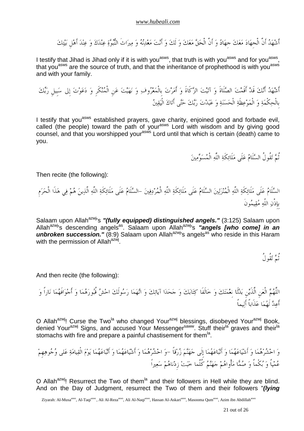أَشْهَدُ أَنَّ الْجهَادَ مَعَكَ جهَادٌ وَ أَنَّ الْحَقَّ مَعَكَ وَ لَكَ وَ أَنْتَ مَعْدِنُهُ وَ مِيرَاثَ النُّبُوَّةِ عِنْدَكَ وَ عِنْدَ أَهْل بَيْتِكَ

I testify that Jihad is Jihad only if it is with you<sup>asws</sup>, that truth is with you<sup>asws</sup> and for you<sup>asws</sup>, that you<sup>asws</sup> are the source of truth, and that the inheritance of prophethood is with you<sup>asws</sup> and with your family.

أَشهد أَنك قَد أَقَمت الصلَاةَ و آتيت الزكَاةَ و أَمرت بِالْمعروف و نهيت عنِ الْمنكَرِ و دعوت إِلى سبِيلِ ربك بِالْحكْمة و الْموعظَة الْحسنة و عبدت ربك حتى أَتاك الْيقين

I testify that you<sup>asws</sup> established prayers, gave charity, enjoined good and forbade evil, called (the people) toward the path of your<sup>asws</sup> Lord with wisdom and by giving good counsel, and that you worshipped yourasws Lord until that which is certain (death) came to you.

ثُم تقُولُ السلَام علَى ملَائكَة اللَّه الْمسومين

Then recite (the following):

السلَام علَى ملَائكَة اللَّه الْمنزلين السلَام علَى ملَائكَة اللَّه الْمردفين -السلَام علَى ملَائكَة اللَّه الَّذين هم في هذَا الْحرمِ بِإِذْن اللَّه مقيمونَ

Salaam upon Allah<sup>azwj</sup>'s "(fully equipped) distinguished angels." (3:125) Salaam upon Allah<sup>azwj</sup>'s descending angels<sup>as</sup>. Salaam upon Allah<sup>azwj</sup>'s "angels [who come] in an unbroken succession." (8:9) Salaam upon Allah<sup>azwj</sup>'s angels<sup>as</sup> who reside in this Haram with the permission of Allah<sup>azẃj</sup>.

ثُم تقُولُ

And then recite (the following):

اللَّهم الْعنِ الَّذَينِ بدلَا نِعمتك و خالَفَا كتابك و جحدا آياتك و اتهما رسولَك احش قُبورهما و أَجوافَهما ناراً و أَعدَّ لَهُمَا عَذَاباً أَليماً

O Allah<sup>azwj</sup>! Curse the Two<sup>la</sup> who changed Your<sup>azwj</sup> blessings, disobeyed Your<sup>azwj</sup> Book, denied Your<sup>azwj</sup> Signs, and accused Your Messenger<sup>saww</sup>. Stuff their<sup>la</sup> graves and their<sup>la</sup> stomachs with fire and prepare a painful chastisement for them<sup>la</sup>.

و احشرهما و أَشياعهما و أَتباعهما إِلَى جهنم زرقاً -و احشرهما و أَشياعهما و أَتباعهما يوم الْقيامة على وجوههِم عمياً و بكْماً و صما مأْواهم جهنم كُلَّما خبت زِدناهم سعيراً

O Allah<sup>azwj</sup>! Resurrect the Two of them<sup>la</sup> and their followers in Hell while they are blind. And on the Day of Judgment, resurrect the Two of them and their followers "**(lying**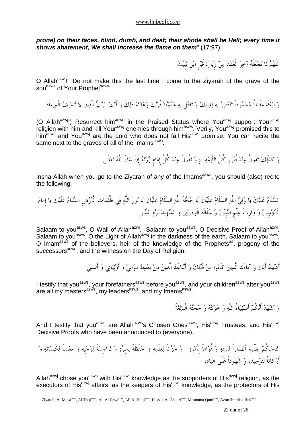**prone) on their faces, blind, dumb, and deaf; their abode shall be Hell; every time it shows abatement, We shall increase the flame on them**" (17:97).

اللَّهُمَّ لَا تَحْعَلْهُ آخِرَ الْعَهْدِ مِنْ زِيَارَةِ قَبْرِ ابْنِ نَبِيِّكَ

O Allah<sup>azwi</sup>! Do not make this the last time I come to the Ziyarah of the grave of the son<sup>asws</sup> of Your Prophet<sup>saww</sup>.

و ابعثْه مقَاماً محموداً تنتصر بِه لدينِك و تقْتلُ بِه عدوك فَإِنك وعدته ذَلك و أَنت الرب الَّذي لا تخلف الْميعاد

(O Allah<sup>azwj</sup>!) Resurrect him<sup>asws</sup> in the Praised Status where You<sup>azwj</sup> support Your<sup>azwj</sup> religion with him and kill Your<sup>azwj</sup> enemies through him<sup>asws</sup>. Verily, You<sup>azwj</sup> promised this to him<sup>asws</sup> and You<sup>azwj</sup> are the Lord who does not fail His<sup>azwj</sup> promise. You can recite the same next to the graves of all of the Imams<sup>asws</sup>.

و كَذَلك تقُولُ عند قُبورِ كُلِّ الْأَئمة ع و تقُولُ عند كُلِّ إِمامٍ زرته إِنْ شاءَ اللَّه تعالَى

Insha Allah when you go to the Ziyarah of any of the Imams<sup>asws</sup>, you should (also) recite the following:

السلَام علَيك يا ولي اللَّه السلَام علَيك يا حجةَ اللَّه السلَام علَيك يا نور اللَّه في ظُلُمات الْأَرضِ السلَام علَيك يا إِمام الْمؤمنِين و وارِثَ علْمِ النبِيين و سلَالَةَ الْوصيين و الشهِيد يوم الدينِ

Salaam to you<sup>asws</sup>, O Wali of Allah<sup>azwj</sup>. Salaam to you<sup>asws</sup>, O Decisive Proof of Allah<sup>azwj</sup>. Salaam to you<sup>asws</sup>, O the Light of Allah<sup>azwj</sup> in the darkness of the earth. Salaam to you<sup>asws</sup>, O Imam<sup>asws</sup> of the believers, heir of the knowledge of the Prophets<sup>as</sup>, progeny of the successors<sup>asws</sup>, and the witness on the Day of Religion.

أَشْهَدُ أَنَّكَ وَ آبَاءَكَ الَّذِينَ كَانُوا مِنْ قَبْلِكَ وَ أَبْنَاءَكَ الَّذِينَ مِنْ بَعْدِكَ مَوَالِيٌّ وَ أَوْلِيَائِي وَ أَئِمَّتِي

I testify that you<sup>asws</sup>, your forefathers<sup>asws</sup> before you<sup>asws</sup>, and your children<sup>asws</sup> after you<sup>asws</sup> are all my masters<sup>asws</sup>, my leaders<sup>asws</sup>, and my Imams<sup>asws</sup>.

و أَشهد أَنكُم أَصفياءُ اللَّه و خزنته و حجته الْبالغةُ

And I testify that you<sup>asws</sup> are Allah<sup>azwj</sup>'s Chosen Ones<sup>asws</sup>, His<sup>azwj</sup> Trustees, and His<sup>azwj</sup> Decisive Proofs who have been announced to (everyone).

انتجبكُم بِعلْمه أَنصاراً لدينِه و قُواماً بِأَمرِه -و خزاناً لعلْمه و حفَظَةً لسِره و تراجِمةً لوحيِه و معدناً لكَلماته و أَركَاناً لتوحيده و شهوداً علَى عباده

Allah<sup>azwj</sup> chose you<sup>asws</sup> with His<sup>azwj</sup> knowledge as the supporters of His<sup>azwj</sup> religion, as the executors of His $^{azwj}$  affairs, as the keepers of His $^{azwj}$  knowledge, as the protectors of His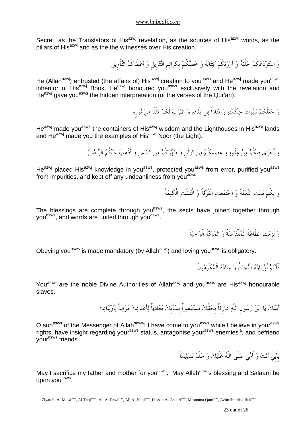Secret, as the Translators of His<sup>azwj</sup> revelation, as the sources of His<sup>azwj</sup> words, as the pillars of His<sup>azwj</sup> and as the the witnesses over His creation.

وَ اسْتَوْدَعَكُمْ خَلْقَهُ وَ أَوْرَتْكُمْ كِتَابَهُ وَ خَصَّكُمْ بكَرَائِمِ التَّنْزِيلِ وَ أَعْطَاكُمُ التّأْوِيلَ

He (Allah<sup>azwj</sup>) entrusted (the affairs of) His<sup>azwj</sup> creation to you<sup>asws</sup> and He<sup>azwj</sup> made you<sup>asws</sup> inheritor of His<sup>azwj</sup> Book. He<sup>azwj</sup> honoured you<sup>asws</sup> exclusively with the revelation and He<sup>azwj</sup> gave you<sup>asws</sup> the hidden interpretation (of the verses of the Qur'an).

وَ جَعَلَكُمْ تَابُوتَ حِكْمَتِهِ وَ مَنَاراً فِي بلَادِهِ وَ ضَرَبَ لَكُمْ مَثَلًا مِنْ نُورِهِ

He<sup>azwj</sup> made you<sup>asws</sup> the containers of His<sup>azwj</sup> wisdom and the Lighthouses in His<sup>azwj</sup> lands and He<sup>azwj</sup> made you the examples of His<sup>azwj</sup> Noor (the Light).

وَ أَجْرَى فِيكُمْ مِنْ عِلْمِهِ وَ عَصَمَكُمْ مِنَ الزَّلَلِ وَ طَهَّرَكُمْ مِنَ الدُّنَسِ وَ أَذْهَبَ عَنْكُمُ الرِّجْسَ

He<sup>azwj</sup> placed His<sup>azwj</sup> knowledge in you<sup>asws</sup>, protected you<sup>asws</sup> from error, purified you<sup>asws</sup> from impurities, and kept off any undeanliness from you<sup>asws</sup>.

وَ بِكُمْ تَمَّتِ النِّعْمَةُ وَ اجْتَمَعَتِ الْفُرْقَةُ وَ ائْتَلَفَتِ الْكَلِمَةُ

The blessings are complete through you<sup>asws</sup>, the sects have joined together through you<sup>asws</sup>, and words are united through you<sup>asws</sup>.

وَ لَزِمَتِ الطَّاعَةُ الْمُفْتَرَضَةُ وَ الْمَوَدَّةُ الْوَاجبَةُ

Obeying you<sup>asws</sup> is made mandatory (by Allah<sup>azwj</sup>) and loving you<sup>asws</sup> is obligatory.

فَأَنْتُمْ أَوْلَيَاؤُهُ النُّجَبَاءُ وَ عبَادُهُ الْمُكْرَمُونَ

You<sup>asws</sup> are the noble Divine Authorities of Allah<sup>azwj</sup> and you<sup>asws</sup> are His<sup>azwj</sup> honourable slaves.

أَتَيْتُكَ يَا ابْنَ رَسُول اللَّهِ عَارِفاً بِحَقِّكَ مُسْتَبْصِراً بِشَأْنكَ مُعَادِياً لِأَعْدَائِكَ مُوَالِياً لِأَوْلِيَائِكَ

O son<sup>asws</sup> of the Messenger of Allah<sup>saww</sup>! I have come to you<sup>asws</sup> while I believe in your<sup>asws</sup> rights, have insight regarding your<sup>asws</sup> status, antagonise your<sup>asws</sup> enemies<sup>la</sup>, and befriend your<sup>asws</sup> friends.

بِأَبِي أَنْتَ وَ أُمِّي صَلَّى اللَّهُ عَلَيْكَ وَ سَلَّمَ تَسْلِيماً

May I sacrifice my father and mother for you<sup>asws</sup>. May Allah<sup>azwj</sup>'s blessing and Salaam be upon you<sup>asws</sup>.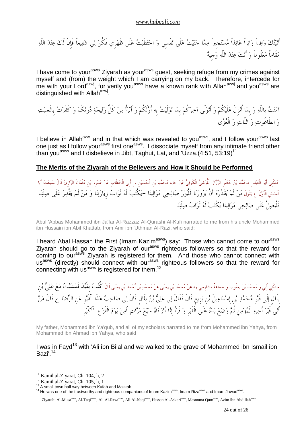أَتيْتُكَ وَافِداً زَائِراً عَائِذاً مُسْتَجِيراً مِمَّا جَنَيْتُ عَلَى نَفْسي وَ احْتَطَبْتُ عَلَى ظَهْرِي فَكُنْ لِي شَفِيعاً فَإِنَّ لَكَ عِنْدَ اللَّهِ مَقَاماً مَعْلُوماً وَ أَنْتَ عِنْدَ اللَّهِ وَجيهٌ

I have come to your<sup>asws</sup> Ziyarah as your<sup>asws</sup> guest, seeking refuge from my crimes against myself and (from) the weight which I am carrying on my back. Therefore, intercede for me with your Lord<sup>azwj</sup>, for verily you<sup>asws</sup> have a known rank with Allah<sup>azwj</sup> and you<sup>asws</sup> are distinguished with Allah<sup>azwj</sup>.

آمنت بِاللَّه و بِما أُنزِلَ علَيكُم و أَتولَّى آخركُم بِما تولَّيت بِه أَولَكُم و أُأَبر من كُلِّ وليجة دونكُم و كَفَرت بِالْجِبت و الطَّاغُوت و اللَّات و الْعزى

I believe in Allah<sup>azwj</sup> and in that which was revealed to you<sup>asws</sup>, and I follow your<sup>asws</sup> last one just as I follow your<sup>asws</sup> first one<sup>asws</sup>. I dissociate myself from any intimate friend other than you<sup>asws</sup> and I disbelieve in Jibt, Taghut, Lat, and 'Uzza.(4:51, 53:19)<sup>11</sup>

## **The Merits of the Ziyarah of the Believers and How it Should be Performed**

حَدَّنْنِي أَبُو الْعَبَّاس مُحَمَّدُ بْنُ حَعْفَرِ الرَّزَازُ الْقُرَشِيُّ الْكُوفِيُّ عَنْ حَالِهِ مُحَمَّدِ بْن الْحُسَيْنِ بْنِ أَبِي الْخَطَّابِ عَنْ عَمْرو بْنِ عُثْمَانَ الرَّازِيِّ قَالَ سَمِعْتُ أَبَا الْحَسَنِ الْأَوَّلَ ع يَقُولُ مَنْ لَمْ يُقَدِّرْهُ أَنْ يَزُورَنَا فَلْيَزُرْ صَالِحِي مَوَالِينَا –يُكْتَبْ لَهُ ثَوَابُ زِيَارَتِنَا وَ مَنْ لَمْ يَقْدِرْ عَلَى صِلَتِنَا فَلْيصلْ علَى صالحي موالينا يكْتب لَه ثَواب صلَتنا

Abul 'Abbas Mohammed ibn Ja'far Al-Razzaz Al-Qurashi Al-Kufi narrated to me from his uncle Mohammed ibn Hussain ibn Abil Khattab, from Amr ibn 'Uthman Al-Razi, who said:

I heard Abal Hassan the First (Imam Kazim<sup>asws</sup>) say: Those who cannot come to our<sup>asws</sup> Ziyarah should go to the Ziyarah of our<sup>asws</sup> righteous followers so that the reward for coming to our<sup>asws</sup> Ziyarah is registered for them. And those who cannot connect with us<sup>asws</sup> (directly) should connect with our<sup>asws</sup> righteous followers so that the reward for connecting with us<sup>asws</sup> is registered for them.<sup>12</sup>

حَدَّنْنِي أَبِي وَ مُحَمَّدُ بْنُ يَعْقُوبَ وَ حَمَاعَةُ مَشايِخِي ره عَنْ مُحَمَّدِ بْن يَحْيي عَنْ مُحَمَّدِ بْن أحْمَدَ بْن يَحْيَى قَالَ كُنْتُ بِفَيْدَ فَمَشَيْتُ مَعَ عَلِيٍّ بْنِ بِلَالٍ إِلَى قَبْرِ مُحَمَّدِ بْنِ إِسْمَاعِيلَ بْنِ بَزِيعٍ قَالَ فَقَالَ لِي عَلِيٌّ بْنُ بِلَالٍ قَالَ لِي صَاحِبُ هَذَا الْقَبْرِ عَنِ الرِّضَا عِ قَالَ مَنْ أَتَى قَبْرَ أخِيهِ الْمُؤْمِن ثُمَّ وَضَعَ يَدَهُ عَلَى الْقَبْرِ وَ قَرَأَ إِنَّا أَنْزَلْنَاهُ سَبْعَ مَرَّاتٍ أَمِنَ يَوْمَ الْفَزَعِ الْأَكْبَرِ

My father, Mohammed ibn Ya'qub, and all of my scholars narrated to me from Mohammed ibn Yahya, from Mohammed ibn Ahmad ibn Yahya, who said

## I was in Fayd<sup>13</sup> with 'Ali ibn Bilal and we walked to the grave of Mohammed ibn Ismail ibn Bazi'.<sup>14</sup>

 $\overline{a}$ 

Ziyarah: Al-Musa<sup>asws</sup>, Al-Taqi<sup>asws</sup>, Ali Al-Reza<sup>asws</sup>, Ali Al-Naqi<sup>asws</sup>, Hassan Al-Askari<sup>asws</sup>, Masooma Oum<sup>asws</sup>, Azim ibn Abdillah<sup>asws</sup>

 $11$  Kamil al-Ziyarat, Ch. 104, h, 2

 $12$  Kamil al-Ziyarat, Ch. 105, h, 1

<sup>&</sup>lt;sup>13</sup> A small town half way between Kufah and Makkah.

<sup>&</sup>lt;sup>14</sup> He was one of the trustworthy and righteous companions of Imam Kazim<sup>asws</sup>, Imam Riza<sup>asws</sup> and Imam Jawad<sup>asws</sup>.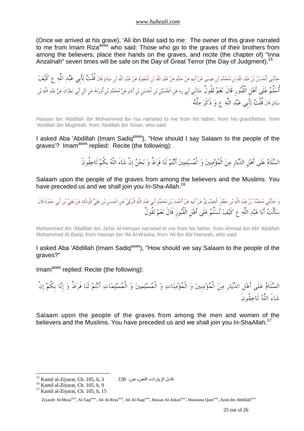(Once we arrived at his grave), 'Ali ibn Bilal said to me: The owner of this grave narrated to me from Imam Riza<sup>asws</sup> who said: Those who go to the graves of their brothers from among the believers, place their hands on the graves, and recite (the chapter of) "Inna Anzalnah" seven times will be safe on the Day of Great Terror (the Day of Judgment).<sup>15</sup>

حَدَّنَنِي الْحَسَنُ بْنُ عَبْدِ اللَّهِ بْنِ مُحَمَّدِ بْنِ عِيسَى عَنْ أَبيهِ عَنْ حَدِّهِ عَنْ عَبْدِ اللَّهِ بْن الْمُغِيرَةِ عَنْ جَلْدِ اللَّهِ بْن عَلْم اللَّهِ عَنْ حَدِّهِ عَنْ عَبْدِ اللَّهِ عَنْ حَدَّهِ عَنْ حَد أُسَلِّمُ عَلَى أَهْلِ الْقُبُورِ قَالَ نَعَمْ تَقُولُ حَدَّنَنِي أَبي ره عَن الْحُسَيْن بْن الْحَسَن بْن أَبانٍ عَنْ مُحَمَّدِ بْن أورَمَةَ عَن ابْن أَبي نَحْرَانَ عَنْ عَبْدِ اللَّهِ بْن سِنَانِ قَالَ قُلْتُ لِأَبِي عَبْدِ اللَّهِ ع وَ ذَكَرَ مِثْلَهُ

Hassan ibn 'Abdillah ibn Mohammed ibn Isa narrated to me from his father, from his grandfather, from 'Abdillah ibn Mughirah, from 'Abdillah ibn Sinan, who said:

I asked Aba 'Abdillah (Imam Sadiq<sup>asws</sup>), "How should I say Salaam to the people of the graves'? Imam<sup>asws</sup> replied: Recite (the following):

السَّلَامُ عَلَى أَهْلِ الدِّيَارِ مِنَ الْمُؤْمِنِينَ وَ الْمُسْلِمِينَ أَنْتُمْ لَنَا فَرَطٌ وَ نَحْنُ إِنْ شَاءَ اللَّهُ بِكُمْ لَاحِقُونَ

Salaam upon the people of the graves from among the believers and the Muslims. You have preceded us and we shall join you In-Sha-Allah.<sup>16</sup>

وَ حَدَّنَنِي مُحَمَّدُ بْنُ عَبْدِ اللَّهِ بْنِ حَعْفَرِ الْحِمْيَرِي عَنْ أَحِمْدَ بْنِ مُحَمَّدٍ أَبِي عَبْدِ اللَّهِ الْبَرْقِيِّ عَن أَحْمَدَ بِنَ مُحَمَّدٍ أَبِي حَمْرَةَ قَالَ سَأَلْتُ أَبَا عَبْدِ اللَّهِ ع كَيْفَ نُسَلِّمُ عَلَى أَهْلِ الْقُبُورِ قَالَ نَعَمْ تَقُولُ

Mohammed ibn 'Abdillah ibn Ja'far Al-Himyari narrated to me from his father, from Ahmad ibn Abl 'Abdillah Mohammed Al-Barqi, from Hassan ibn 'Ali Al-Washa, from 'Ali ibn Abl Hamzah, who said:

I asked Aba 'Abdillah (Imam Sadiq<sup>asws</sup>), "How should we say Salaam to the people of the graves?"

Imam<sup>asws</sup> replied: Recite (the following):

السَّلَامُ عَلَى أَهْلِ الدِّيَارِ مِنَ الْمُؤْمِنينَ وَ الْمُؤْمِنَاتِ وَ الْمُسْلِمِينَ وَ الْمُسْلِمَاتِ أَنْتُمْ لَنَا فَرَطٌ وَ إِنَّا بِكُمْ إِنْ شَاءَ اللَّهُ لَاحقُونَ

Salaam upon the people of the graves from among the men and women of the believers and the Muslims. You have preceded us and we shall join you In-ShaAllah.<sup>17</sup>

كامل الز با  $15$  Kamil al-Zivarat, Ch. 105, h. 3

<sup>&</sup>lt;sup>16</sup> Kamil al-Ziyarat, Ch. 105, h, 9

<sup>&</sup>lt;sup>17</sup> Kamil al-Ziyarat, Ch. 105, h, 15

Ziyarah: Al-Musa<sup>asws</sup>, Al-Taqi<sup>asws</sup>, Ali Al-Reza<sup>asws</sup>, Ali Al-Naqi<sup>asws</sup>, Hassan Al-Askari<sup>asws</sup>, Masooma Qum<sup>asws</sup>, Azim ibn Abdillah<sup>asws</sup>